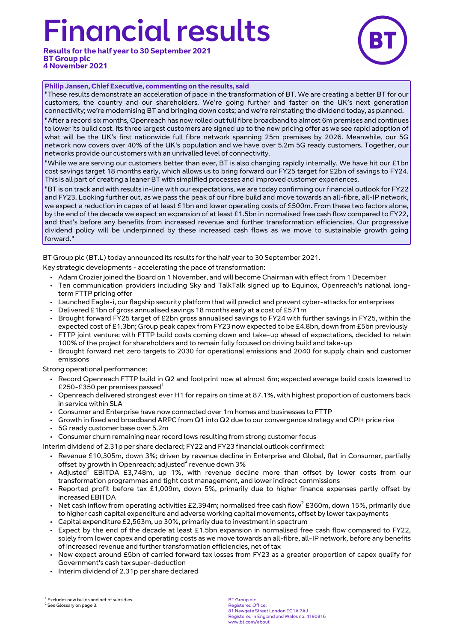# inancial results

**Results for the half year to 30 September 2021 BT Group plc 4 November 2021**



#### **Philip Jansen, Chief Executive, commenting on the results, said**

"These results demonstrate an acceleration of pace in the transformation of BT. We are creating a better BT for our customers, the country and our shareholders. We're going further and faster on the UK's next generation connectivity; we're modernising BT and bringing down costs; and we're reinstating the dividend today, as planned.

"After a record six months, Openreach has now rolled out full fibre broadband to almost 6m premises and continues to lower its build cost. Its three largest customers are signed up to the new pricing offer as we see rapid adoption of what will be the UK's first nationwide full fibre network spanning 25m premises by 2026. Meanwhile, our 5G network now covers over 40% of the UK's population and we have over 5.2m 5G ready customers. Together, our networks provide our customers with an unrivalled level of connectivity.

"While we are serving our customers better than ever, BT is also changing rapidly internally. We have hit our £1bn cost savings target 18 months early, which allows us to bring forward our FY25 target for £2bn of savings to FY24. This is all part of creating a leaner BT with simplified processes and improved customer experiences.

"BT is on track and with results in-line with our expectations, we are today confirming our financial outlook for FY22 and FY23. Looking further out, as we pass the peak of our fibre build and move towards an all-fibre, all-IP network, we expect a reduction in capex of at least £1bn and lower operating costs of £500m. From these two factors alone, by the end of the decade we expect an expansion of at least £1.5bn in normalised free cash flow compared to FY22, and that's before any benefits from increased revenue and further transformation efficiencies. Our progressive dividend policy will be underpinned by these increased cash flows as we move to sustainable growth going forward."

BT Group plc (BT.L) today announced its results for the half year to 30 September 2021.

Key strategic developments - accelerating the pace of transformation:

- Adam Crozier joined the Board on 1 November, and will become Chairman with effect from 1 December
- Ten communication providers including Sky and TalkTalk signed up to Equinox, Openreach's national longterm FTTP pricing offer
- Launched Eagle-i, our flagship security platform that will predict and prevent cyber-attacks for enterprises
- Delivered £1bn of gross annualised savings 18 months early at a cost of £571m
- Brought forward FY25 target of £2bn gross annualised savings to FY24 with further savings in FY25, within the expected cost of £1.3bn; Group peak capex from FY23 now expected to be £4.8bn, down from £5bn previously
- FTTP joint venture: with FTTP build costs coming down and take-up ahead of expectations, decided to retain 100% of the project for shareholders and to remain fully focused on driving build and take-up
- Brought forward net zero targets to 2030 for operational emissions and 2040 for supply chain and customer emissions

Strong operational performance:

- Record Openreach FTTP build in Q2 and footprint now at almost 6m; expected average build costs lowered to £250-£350 per premises passed<sup>1</sup>
- Openreach delivered strongest ever H1 for repairs on time at 87.1%, with highest proportion of customers back in service within SLA
- Consumer and Enterprise have now connected over 1m homes and businesses to FTTP
- Growth in fixed and broadband ARPC from Q1 into Q2 due to our convergence strategy and CPI+ price rise
- 5G ready customer base over 5.2m
- Consumer churn remaining near record lows resulting from strong customer focus

Interim dividend of 2.31p per share declared; FY22 and FY23 financial outlook confirmed:

- Revenue £10,305m, down 3%; driven by revenue decline in Enterprise and Global, flat in Consumer, partially offset by growth in Openreach; adjusted $^{\tilde{2}}$  revenue down 3%
- Adjusted<sup>2</sup> EBITDA £3,748m, up 1%, with revenue decline more than offset by lower costs from our transformation programmes and tight cost management, and lower indirect commissions
- Reported profit before tax £1,009m, down 5%, primarily due to higher finance expenses partly offset by increased EBITDA
- Net cash inflow from operating activities £2,394m; normalised free cash flow<sup>2</sup> £360m, down 15%, primarily due to higher cash capital expenditure and adverse working capital movements, offset by lower tax payments
- Capital expenditure £2,563m, up 30%, primarily due to investment in spectrum
- Expect by the end of the decade at least £1.5bn expansion in normalised free cash flow compared to FY22, solely from lower capex and operating costs as we move towards an all-fibre, all-IP network, before any benefits of increased revenue and further transformation efficiencies, net of tax
- Now expect around £5bn of carried forward tax losses from FY23 as a greater proportion of capex qualify for Government's cash tax super-deduction
- Interim dividend of 2.31p per share declared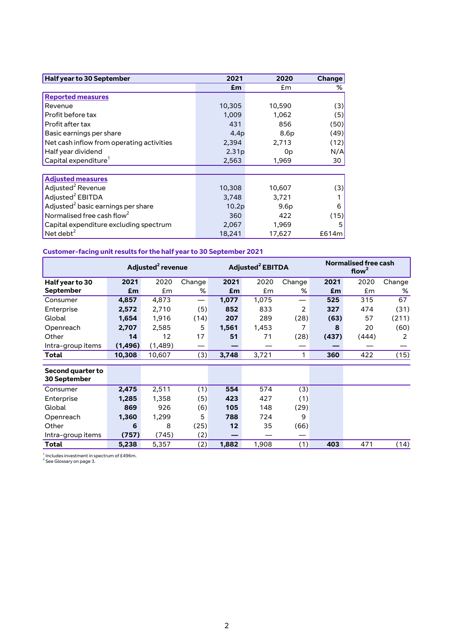| Half year to 30 September                      | 2021   | 2020   | <b>Change</b> |
|------------------------------------------------|--------|--------|---------------|
|                                                | £m     | £m     | %             |
| <b>Reported measures</b>                       |        |        |               |
| Revenue                                        | 10,305 | 10,590 | (3)           |
| Profit before tax                              | 1,009  | 1,062  | (5)           |
| Profit after tax                               | 431    | 856    | (50)          |
| Basic earnings per share                       | 4.4p   | 8.6p   | (49)          |
| Net cash inflow from operating activities      | 2,394  | 2,713  | (12)          |
| Half year dividend                             | 2.31p  | 0p     | N/A           |
| Capital expenditure <sup>1</sup>               | 2,563  | 1,969  | 30            |
|                                                |        |        |               |
| <b>Adjusted measures</b>                       |        |        |               |
| Adjusted <sup>2</sup> Revenue                  | 10,308 | 10,607 | (3)           |
| Adjusted <sup>2</sup> EBITDA                   | 3,748  | 3,721  |               |
| Adjusted <sup>2</sup> basic earnings per share | 10.2p  | 9.6p   | 6             |
| Normalised free cash flow <sup>2</sup>         | 360    | 422    | (15)          |
| Capital expenditure excluding spectrum         | 2,067  | 1,969  | 5             |
| Net debt $^2$                                  | 18,241 | 17,627 | £614m         |

# **Customer-facing unit results for the half year to 30 September 2021**

|                                   |          | Adjusted <sup>2</sup> revenue |        | Adjusted <sup>2</sup> EBITDA |       |        | <b>Normalised free cash</b><br>flow <sup>2</sup> |       |        |
|-----------------------------------|----------|-------------------------------|--------|------------------------------|-------|--------|--------------------------------------------------|-------|--------|
| Half year to 30                   | 2021     | 2020                          | Change | 2021                         | 2020  | Change | 2021                                             | 2020  | Change |
| <b>September</b>                  | £m       | £m                            | %      | £m                           | £m    | %      | £m                                               | £m    | %      |
| Consumer                          | 4,857    | 4,873                         |        | 1,077                        | 1,075 | —      | 525                                              | 315   | 67     |
| Enterprise                        | 2,572    | 2,710                         | (5)    | 852                          | 833   | 2      | 327                                              | 474   | (31)   |
| Global                            | 1,654    | 1,916                         | (14)   | 207                          | 289   | (28)   | (63)                                             | 57    | (211)  |
| Openreach                         | 2,707    | 2,585                         | 5      | 1,561                        | 1,453 | 7      | 8                                                | 20    | (60)   |
| Other                             | 14       | 12                            | 17     | 51                           | 71    | (28)   | (437)                                            | (444) | 2      |
| Intra-group items                 | (1, 496) | (1,489)                       | —      |                              |       |        |                                                  |       |        |
| Total                             | 10,308   | 10,607                        | (3)    | 3,748                        | 3,721 | 1      | 360                                              | 422   | (15)   |
| Second quarter to<br>30 September |          |                               |        |                              |       |        |                                                  |       |        |
| Consumer                          | 2,475    | 2,511                         | (1)    | 554                          | 574   | (3)    |                                                  |       |        |
| Enterprise                        | 1,285    | 1,358                         | (5)    | 423                          | 427   | (1)    |                                                  |       |        |
| Global                            | 869      | 926                           | (6)    | 105                          | 148   | (29)   |                                                  |       |        |
| Openreach                         | 1,360    | 1,299                         | 5      | 788                          | 724   | 9      |                                                  |       |        |
| Other                             | 6        | 8                             | (25)   | 12                           | 35    | (66)   |                                                  |       |        |
| Intra-group items                 | (757)    | (745)                         | (2)    |                              |       |        |                                                  |       |        |
| Total                             | 5,238    | 5,357                         | (2)    | 1,882                        | 1,908 | (1)    | 403                                              | 471   | (14)   |

 $^1$  Includes investment in spectrum of £496m.<br> $^2$  See Glossary on page 3.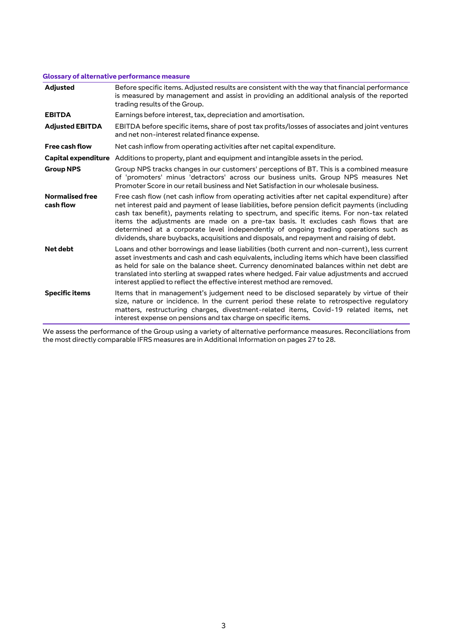## **Glossary of alternative performance measure**

| <b>Adjusted</b>                     | Before specific items. Adjusted results are consistent with the way that financial performance<br>is measured by management and assist in providing an additional analysis of the reported<br>trading results of the Group.                                                                                                                                                                                                                                                                                                                                             |
|-------------------------------------|-------------------------------------------------------------------------------------------------------------------------------------------------------------------------------------------------------------------------------------------------------------------------------------------------------------------------------------------------------------------------------------------------------------------------------------------------------------------------------------------------------------------------------------------------------------------------|
| <b>EBITDA</b>                       | Earnings before interest, tax, depreciation and amortisation.                                                                                                                                                                                                                                                                                                                                                                                                                                                                                                           |
| <b>Adjusted EBITDA</b>              | EBITDA before specific items, share of post tax profits/losses of associates and joint ventures<br>and net non-interest related finance expense.                                                                                                                                                                                                                                                                                                                                                                                                                        |
| <b>Free cash flow</b>               | Net cash inflow from operating activities after net capital expenditure.                                                                                                                                                                                                                                                                                                                                                                                                                                                                                                |
|                                     | Capital expenditure Additions to property, plant and equipment and intangible assets in the period.                                                                                                                                                                                                                                                                                                                                                                                                                                                                     |
| <b>Group NPS</b>                    | Group NPS tracks changes in our customers' perceptions of BT. This is a combined measure<br>of 'promoters' minus 'detractors' across our business units. Group NPS measures Net<br>Promoter Score in our retail business and Net Satisfaction in our wholesale business.                                                                                                                                                                                                                                                                                                |
| <b>Normalised free</b><br>cash flow | Free cash flow (net cash inflow from operating activities after net capital expenditure) after<br>net interest paid and payment of lease liabilities, before pension deficit payments (including<br>cash tax benefit), payments relating to spectrum, and specific items. For non-tax related<br>items the adjustments are made on a pre-tax basis. It excludes cash flows that are<br>determined at a corporate level independently of ongoing trading operations such as<br>dividends, share buybacks, acquisitions and disposals, and repayment and raising of debt. |
| Net debt                            | Loans and other borrowings and lease liabilities (both current and non-current), less current<br>asset investments and cash and cash equivalents, including items which have been classified<br>as held for sale on the balance sheet. Currency denominated balances within net debt are<br>translated into sterling at swapped rates where hedged. Fair value adjustments and accrued<br>interest applied to reflect the effective interest method are removed.                                                                                                        |
| <b>Specific items</b>               | Items that in management's judgement need to be disclosed separately by virtue of their<br>size, nature or incidence. In the current period these relate to retrospective regulatory<br>matters, restructuring charges, divestment-related items, Covid-19 related items, net<br>interest expense on pensions and tax charge on specific items.                                                                                                                                                                                                                         |

We assess the performance of the Group using a variety of alternative performance measures. Reconciliations from the most directly comparable IFRS measures are in Additional Information on pages 27 to 28.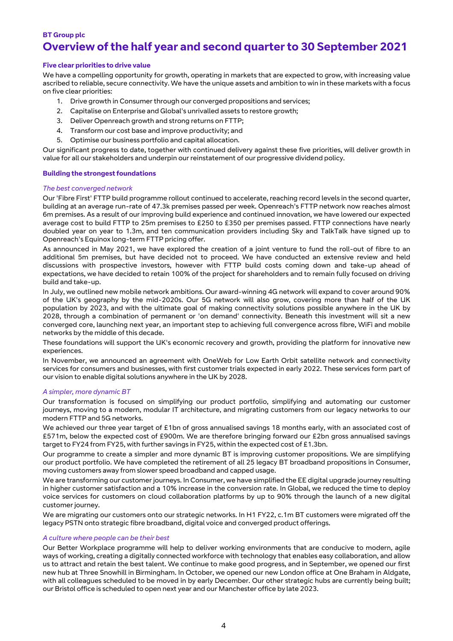# **BT Group plc Overview of the half year and second quarter to 30 September 2021**

#### **Five clear priorities to drive value**

We have a compelling opportunity for growth, operating in markets that are expected to grow, with increasing value ascribed to reliable, secure connectivity. We have the unique assets and ambition to win in these markets with a focus on five clear priorities:

- 1. Drive growth in Consumer through our converged propositions and services;
- 2. Capitalise on Enterprise and Global's unrivalled assets to restore growth;
- 3. Deliver Openreach growth and strong returns on FTTP;
- 4. Transform our cost base and improve productivity; and
- 5. Optimise our business portfolio and capital allocation.

Our significant progress to date, together with continued delivery against these five priorities, will deliver growth in value for all our stakeholders and underpin our reinstatement of our progressive dividend policy.

#### **Building the strongest foundations**

#### *The best converged network*

Our 'Fibre First' FTTP build programme rollout continued to accelerate, reaching record levels in the second quarter, building at an average run-rate of 47.3k premises passed per week. Openreach's FTTP network now reaches almost 6m premises. As a result of our improving build experience and continued innovation, we have lowered our expected average cost to build FTTP to 25m premises to £250 to £350 per premises passed. FTTP connections have nearly doubled year on year to 1.3m, and ten communication providers including Sky and TalkTalk have signed up to Openreach's Equinox long-term FTTP pricing offer.

As announced in May 2021, we have explored the creation of a joint venture to fund the roll-out of fibre to an additional 5m premises, but have decided not to proceed. We have conducted an extensive review and held discussions with prospective investors, however with FTTP build costs coming down and take-up ahead of expectations, we have decided to retain 100% of the project for shareholders and to remain fully focused on driving build and take-up.

In July, we outlined new mobile network ambitions. Our award-winning 4G network will expand to cover around 90% of the UK's geography by the mid-2020s. Our 5G network will also grow, covering more than half of the UK population by 2023, and with the ultimate goal of making connectivity solutions possible anywhere in the UK by 2028, through a combination of permanent or 'on demand' connectivity. Beneath this investment will sit a new converged core, launching next year, an important step to achieving full convergence across fibre, WiFi and mobile networks by the middle of this decade.

These foundations will support the UK's economic recovery and growth, providing the platform for innovative new experiences.

In November, we announced an agreement with OneWeb for Low Earth Orbit satellite network and connectivity services for consumers and businesses, with first customer trials expected in early 2022. These services form part of our vision to enable digital solutions anywhere in the UK by 2028.

#### *A simpler, more dynamic BT*

Our transformation is focused on simplifying our product portfolio, simplifying and automating our customer journeys, moving to a modern, modular IT architecture, and migrating customers from our legacy networks to our modern FTTP and 5G networks.

We achieved our three year target of £1bn of gross annualised savings 18 months early, with an associated cost of £571m, below the expected cost of £900m. We are therefore bringing forward our £2bn gross annualised savings target to FY24 from FY25, with further savings in FY25, within the expected cost of £1.3bn.

Our programme to create a simpler and more dynamic BT is improving customer propositions. We are simplifying our product portfolio. We have completed the retirement of all 25 legacy BT broadband propositions in Consumer, moving customers away from slower speed broadband and capped usage.

We are transforming our customer journeys. In Consumer, we have simplified the EE digital upgrade journey resulting in higher customer satisfaction and a 10% increase in the conversion rate. In Global, we reduced the time to deploy voice services for customers on cloud collaboration platforms by up to 90% through the launch of a new digital customer journey.

We are migrating our customers onto our strategic networks. In H1 FY22, c.1m BT customers were migrated off the legacy PSTN onto strategic fibre broadband, digital voice and converged product offerings.

#### *A culture where people can be their best*

Our Better Workplace programme will help to deliver working environments that are conducive to modern, agile ways of working, creating a digitally connected workforce with technology that enables easy collaboration, and allow us to attract and retain the best talent. We continue to make good progress, and in September, we opened our first new hub at Three Snowhill in Birmingham. In October, we opened our new London office at One Braham in Aldgate, with all colleagues scheduled to be moved in by early December. Our other strategic hubs are currently being built; our Bristol office is scheduled to open next year and our Manchester office by late 2023.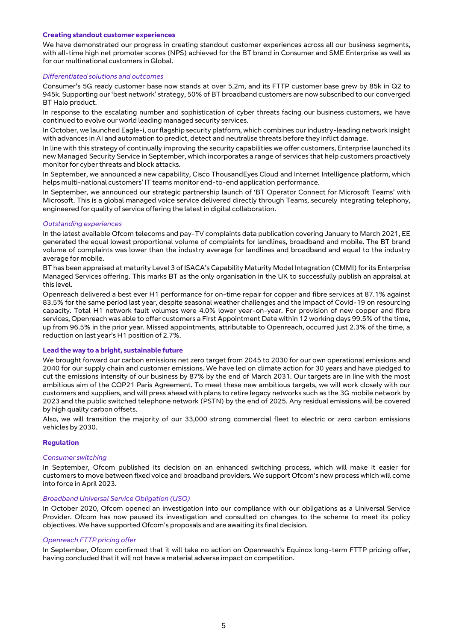#### **Creating standout customer experiences**

We have demonstrated our progress in creating standout customer experiences across all our business segments, with all-time high net promoter scores (NPS) achieved for the BT brand in Consumer and SME Enterprise as well as for our multinational customers in Global.

#### *Differentiated solutions and outcomes*

Consumer's 5G ready customer base now stands at over 5.2m, and its FTTP customer base grew by 85k in Q2 to 945k. Supporting our 'best network' strategy, 50% of BT broadband customers are now subscribed to our converged BT Halo product.

In response to the escalating number and sophistication of cyber threats facing our business customers, we have continued to evolve our world leading managed security services.

In October, we launched Eagle-i, our flagship security platform, which combines our industry-leading network insight with advances in AI and automation to predict, detect and neutralise threats before they inflict damage.

In line with this strategy of continually improving the security capabilities we offer customers, Enterprise launched its new Managed Security Service in September, which incorporates a range of services that help customers proactively monitor for cyber threats and block attacks.

In September, we announced a new capability, Cisco ThousandEyes Cloud and Internet Intelligence platform, which helps multi-national customers' IT teams monitor end-to-end application performance.

In September, we announced our strategic partnership launch of 'BT Operator Connect for Microsoft Teams' with Microsoft. This is a global managed voice service delivered directly through Teams, securely integrating telephony, engineered for quality of service offering the latest in digital collaboration.

#### *Outstanding experiences*

In the latest available Ofcom telecoms and pay-TV complaints data publication covering January to March 2021, EE generated the equal lowest proportional volume of complaints for landlines, broadband and mobile. The BT brand volume of complaints was lower than the industry average for landlines and broadband and equal to the industry average for mobile.

BT has been appraised at maturity Level 3 of ISACA's Capability Maturity Model Integration (CMMI) for its Enterprise Managed Services offering. This marks BT as the only organisation in the UK to successfully publish an appraisal at this level.

Openreach delivered a best ever H1 performance for on-time repair for copper and fibre services at 87.1% against 83.5% for the same period last year, despite seasonal weather challenges and the impact of Covid-19 on resourcing capacity. Total H1 network fault volumes were 4.0% lower year-on-year. For provision of new copper and fibre services, Openreach was able to offer customers a First Appointment Date within 12 working days 99.5% of the time, up from 96.5% in the prior year. Missed appointments, attributable to Openreach, occurred just 2.3% of the time, a reduction on last year's H1 position of 2.7%.

#### **Lead the way to a bright, sustainable future**

We brought forward our carbon emissions net zero target from 2045 to 2030 for our own operational emissions and 2040 for our supply chain and customer emissions. We have led on climate action for 30 years and have pledged to cut the emissions intensity of our business by 87% by the end of March 2031. Our targets are in line with the most ambitious aim of the COP21 Paris Agreement. To meet these new ambitious targets, we will work closely with our customers and suppliers, and will press ahead with plans to retire legacy networks such as the 3G mobile network by 2023 and the public switched telephone network (PSTN) by the end of 2025. Any residual emissions will be covered by high quality carbon offsets.

Also, we will transition the majority of our 33,000 strong commercial fleet to electric or zero carbon emissions vehicles by 2030.

#### **Regulation**

#### *Consumer switching*

In September, Ofcom published its decision on an enhanced switching process, which will make it easier for customers to move between fixed voice and broadband providers. We support Ofcom's new process which will come into force in April 2023.

#### *Broadband Universal Service Obligation (USO)*

In October 2020, Ofcom opened an investigation into our compliance with our obligations as a Universal Service Provider. Ofcom has now paused its investigation and consulted on changes to the scheme to meet its policy objectives. We have supported Ofcom's proposals and are awaiting its final decision.

#### *Openreach FTTP pricing offer*

In September, Ofcom confirmed that it will take no action on Openreach's Equinox long-term FTTP pricing offer, having concluded that it will not have a material adverse impact on competition.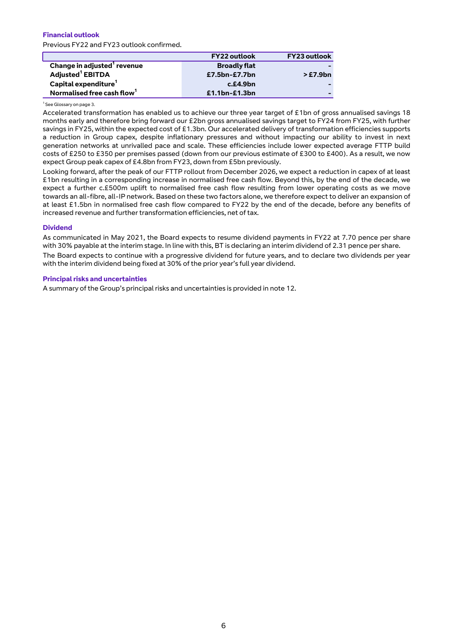#### **Financial outlook** Previous FY22 and FY23 outlook confirmed.

|                                         | <b>FY22 outlook</b> | <b>FY23 outlook</b> |
|-----------------------------------------|---------------------|---------------------|
| Change in adjusted <sup>1</sup> revenue | <b>Broadly flat</b> |                     |
| Adjusted <sup>1</sup> EBITDA            | £7.5bn-£7.7bn       | >£7.9bn             |
| Capital expenditure <sup>1</sup>        | $c$ .£4.9 $bn$      |                     |
| Normalised free cash flow <sup>1</sup>  | $£1.1bn-E1.3bn$     |                     |

#### <sup>1</sup> See Glossary on page 3.

I

Accelerated transformation has enabled us to achieve our three year target of £1bn of gross annualised savings 18 months early and therefore bring forward our £2bn gross annualised savings target to FY24 from FY25, with further savings in FY25, within the expected cost of £1.3bn. Our accelerated delivery of transformation efficiencies supports a reduction in Group capex, despite inflationary pressures and without impacting our ability to invest in next generation networks at unrivalled pace and scale. These efficiencies include lower expected average FTTP build costs of £250 to £350 per premises passed (down from our previous estimate of £300 to £400). As a result, we now expect Group peak capex of £4.8bn from FY23, down from £5bn previously.

Looking forward, after the peak of our FTTP rollout from December 2026, we expect a reduction in capex of at least £1bn resulting in a corresponding increase in normalised free cash flow. Beyond this, by the end of the decade, we expect a further c.£500m uplift to normalised free cash flow resulting from lower operating costs as we move towards an all-fibre, all-IP network. Based on these two factors alone, we therefore expect to deliver an expansion of at least £1.5bn in normalised free cash flow compared to FY22 by the end of the decade, before any benefits of increased revenue and further transformation efficiencies, net of tax.

#### **Dividend**

As communicated in May 2021, the Board expects to resume dividend payments in FY22 at 7.70 pence per share with 30% payable at the interim stage. In line with this, BT is declaring an interim dividend of 2.31 pence per share. The Board expects to continue with a progressive dividend for future years, and to declare two dividends per year with the interim dividend being fixed at 30% of the prior year's full year dividend.

#### **Principal risks and uncertainties**

A summary of the Group's principal risks and uncertainties is provided in note 12.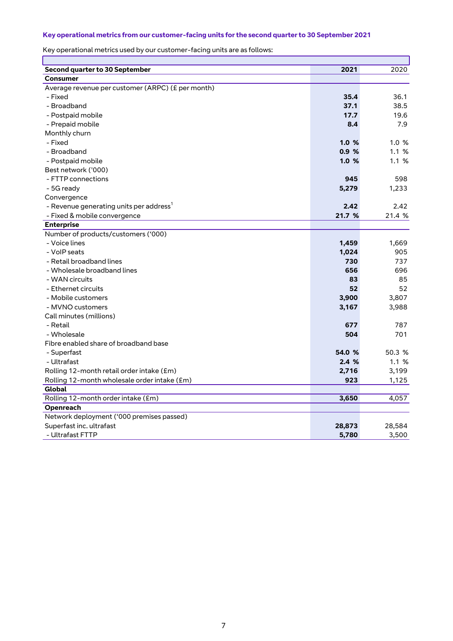# **Key operational metrics from our customer-facing units for the second quarter to 30 September 2021**

Key operational metrics used by our customer-facing units are as follows:

| Second quarter to 30 September                      | 2021   | 2020   |
|-----------------------------------------------------|--------|--------|
| <b>Consumer</b>                                     |        |        |
| Average revenue per customer (ARPC) (£ per month)   |        |        |
| - Fixed                                             | 35.4   | 36.1   |
| - Broadband                                         | 37.1   | 38.5   |
| - Postpaid mobile                                   | 17.7   | 19.6   |
| - Prepaid mobile                                    | 8.4    | 7.9    |
| Monthly churn                                       |        |        |
| - Fixed                                             | 1.0%   | 1.0%   |
| - Broadband                                         | 0.9%   | 1.1%   |
| - Postpaid mobile                                   | 1.0%   | 1.1%   |
| Best network ('000)                                 |        |        |
| - FTTP connections                                  | 945    | 598    |
| - 5G ready                                          | 5,279  | 1,233  |
| Convergence                                         |        |        |
| - Revenue generating units per address <sup>1</sup> | 2.42   | 2.42   |
| - Fixed & mobile convergence                        | 21.7 % | 21.4 % |
| <b>Enterprise</b>                                   |        |        |
| Number of products/customers ('000)                 |        |        |
| - Voice lines                                       | 1,459  | 1,669  |
| - VoIP seats                                        | 1,024  | 905    |
| - Retail broadband lines                            | 730    | 737    |
| - Wholesale broadband lines                         | 656    | 696    |
| - WAN circuits                                      | 83     | 85     |
| - Ethernet circuits                                 | 52     | 52     |
| - Mobile customers                                  | 3,900  | 3,807  |
| - MVNO customers                                    | 3,167  | 3,988  |
| Call minutes (millions)                             |        |        |
| - Retail                                            | 677    | 787    |
| - Wholesale                                         | 504    | 701    |
| Fibre enabled share of broadband base               |        |        |
| - Superfast                                         | 54.0 % | 50.3 % |
| - Ultrafast                                         | 2.4%   | 1.1%   |
| Rolling 12-month retail order intake (£m)           | 2,716  | 3,199  |
| Rolling 12-month wholesale order intake (£m)        | 923    | 1,125  |
| Global                                              |        |        |
| Rolling 12-month order intake (£m)                  | 3,650  | 4,057  |
| Openreach                                           |        |        |
| Network deployment ('000 premises passed)           |        |        |
| Superfast inc. ultrafast                            | 28,873 | 28,584 |
| - Ultrafast FTTP                                    | 5,780  | 3,500  |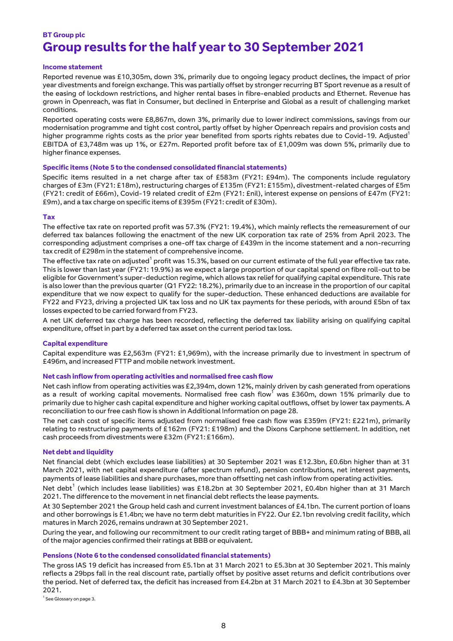# **BT Group plc Group results for the half year to 30 September 2021**

#### **Income statement**

Reported revenue was £10,305m, down 3%, primarily due to ongoing legacy product declines, the impact of prior year divestments and foreign exchange. This was partially offset by stronger recurring BT Sport revenue as a result of the easing of lockdown restrictions, and higher rental bases in fibre-enabled products and Ethernet. Revenue has grown in Openreach, was flat in Consumer, but declined in Enterprise and Global as a result of challenging market conditions.

Reported operating costs were £8,867m, down 3%, primarily due to lower indirect commissions, savings from our modernisation programme and tight cost control, partly offset by higher Openreach repairs and provision costs and higher programme rights costs as the prior year benefited from sports rights rebates due to Covid-19. Adjusted<sup>1</sup> EBITDA of £3,748m was up 1%, or £27m. Reported profit before tax of £1,009m was down 5%, primarily due to higher finance expenses.

#### **Specific items (Note 5 to the condensed consolidated financial statements)**

Specific items resulted in a net charge after tax of £583m (FY21: £94m). The components include regulatory charges of £3m (FY21: £18m), restructuring charges of £135m (FY21: £155m), divestment-related charges of £5m (FY21: credit of £66m), Covid-19 related credit of £2m (FY21: £nil), interest expense on pensions of £47m (FY21: £9m), and a tax charge on specific items of £395m (FY21: credit of £30m).

#### **Tax**

The effective tax rate on reported profit was 57.3% (FY21: 19.4%), which mainly reflects the remeasurement of our deferred tax balances following the enactment of the new UK corporation tax rate of 25% from April 2023. The corresponding adjustment comprises a one-off tax charge of £439m in the income statement and a non-recurring tax credit of £298m in the statement of comprehensive income.

The effective tax rate on adjusted $^{\rm 1}$  profit was 15.3%, based on our current estimate of the full year effective tax rate. This is lower than last year (FY21: 19.9%) as we expect a large proportion of our capital spend on fibre roll-out to be eligible for Government's super-deduction regime, which allows tax relief for qualifying capital expenditure. This rate is also lower than the previous quarter (Q1 FY22: 18.2%), primarily due to an increase in the proportion of our capital expenditure that we now expect to qualify for the super-deduction. These enhanced deductions are available for FY22 and FY23, driving a projected UK tax loss and no UK tax payments for these periods, with around £5bn of tax losses expected to be carried forward from FY23.

A net UK deferred tax charge has been recorded, reflecting the deferred tax liability arising on qualifying capital expenditure, offset in part by a deferred tax asset on the current period tax loss.

#### **Capital expenditure**

Capital expenditure was £2,563m (FY21: £1,969m), with the increase primarily due to investment in spectrum of £496m, and increased FTTP and mobile network investment.

#### **Net cash inflow from operating activities and normalised free cash flow**

Net cash inflow from operating activities was £2,394m, down 12%, mainly driven by cash generated from operations as a result of working capital movements. Normalised free cash flow<sup>1</sup> was £360m, down 15% primarily due to primarily due to higher cash capital expenditure and higher working capital outflows, offset by lower tax payments. A reconciliation to our free cash flow is shown in Additional Information on page 28.

The net cash cost of specific items adjusted from normalised free cash flow was £359m (FY21: £221m), primarily relating to restructuring payments of £162m (FY21: £198m) and the Dixons Carphone settlement. In addition, net cash proceeds from divestments were £32m (FY21: £166m).

#### **Net debt and liquidity**

Net financial debt (which excludes lease liabilities) at 30 September 2021 was £12.3bn, £0.6bn higher than at 31 March 2021, with net capital expenditure (after spectrum refund), pension contributions, net interest payments, payments of lease liabilities and share purchases, more than offsetting net cash inflow from operating activities.

Net debt $^1$  (which includes lease liabilities) was £18.2bn at 30 September 2021, £0.4bn higher than at 31 March 2021. The difference to the movement in net financial debt reflects the lease payments.

At 30 September 2021 the Group held cash and current investment balances of £4.1bn. The current portion of loans and other borrowings is £1.4bn; we have no term debt maturities in FY22. Our £2.1bn revolving credit facility, which matures in March 2026, remains undrawn at 30 September 2021.

During the year, and following our recommitment to our credit rating target of BBB+ and minimum rating of BBB, all of the major agencies confirmed their ratings at BBB or equivalent.

#### **Pensions (Note 6 to the condensed consolidated financial statements)**

The gross IAS 19 deficit has increased from £5.1bn at 31 March 2021 to £5.3bn at 30 September 2021. This mainly reflects a 29bps fall in the real discount rate, partially offset by positive asset returns and deficit contributions over the period. Net of deferred tax, the deficit has increased from £4.2bn at 31 March 2021 to £4.3bn at 30 September 2021.

<sup>1</sup> See Glossary on page 3.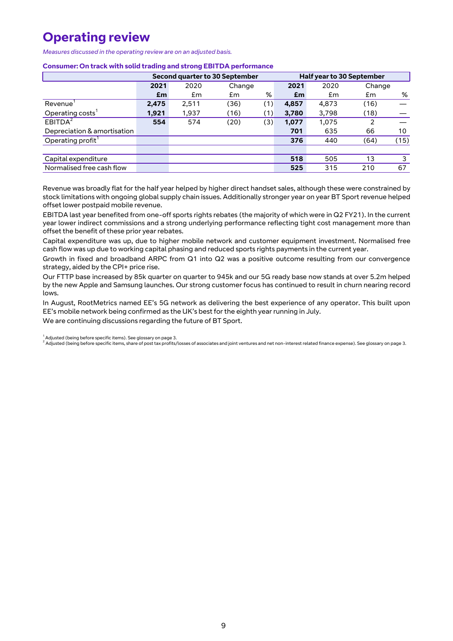# **Operating review**

*Measures discussed in the operating review are on an adjusted basis.*

#### **Consumer: On track with solid trading and strong EBITDA performance**

|                               | Second quarter to 30 September |       |        |     | <b>Half year to 30 September</b> |       |        |      |
|-------------------------------|--------------------------------|-------|--------|-----|----------------------------------|-------|--------|------|
|                               | 2021                           | 2020  | Change |     | 2021                             | 2020  | Change |      |
|                               | £m                             | £m    | £m     | %   | £m                               | £m    | £m     | %    |
| Revenue                       | 2,475                          | 2.511 | (36)   | (1) | 4,857                            | 4,873 | (16)   |      |
| Operating costs'              | 1,921                          | 1,937 | (16)   | (1) | 3,780                            | 3,798 | (18)   |      |
| EBITDA <sup>2</sup>           | 554                            | 574   | (20)   | (3) | 1,077                            | 1,075 | 2      |      |
| Depreciation & amortisation   |                                |       |        |     | 701                              | 635   | 66     | 10   |
| Operating profit <sup>1</sup> |                                |       |        |     | 376                              | 440   | (64)   | (15) |
|                               |                                |       |        |     |                                  |       |        |      |
| Capital expenditure           |                                |       |        |     | 518                              | 505   | 13     | 3    |
| Normalised free cash flow     |                                |       |        |     | 525                              | 315   | 210    | 67   |

Revenue was broadly flat for the half year helped by higher direct handset sales, although these were constrained by stock limitations with ongoing global supply chain issues. Additionally stronger year on year BT Sport revenue helped offset lower postpaid mobile revenue.

EBITDA last year benefited from one-off sports rights rebates (the majority of which were in Q2 FY21). In the current year lower indirect commissions and a strong underlying performance reflecting tight cost management more than offset the benefit of these prior year rebates.

Capital expenditure was up, due to higher mobile network and customer equipment investment. Normalised free cash flow was up due to working capital phasing and reduced sports rights payments in the current year.

Growth in fixed and broadband ARPC from Q1 into Q2 was a positive outcome resulting from our convergence strategy, aided by the CPI+ price rise.

Our FTTP base increased by 85k quarter on quarter to 945k and our 5G ready base now stands at over 5.2m helped by the new Apple and Samsung launches. Our strong customer focus has continued to result in churn nearing record lows.

In August, RootMetrics named EE's 5G network as delivering the best experience of any operator. This built upon EE's mobile network being confirmed as the UK's best for the eighth year running in July.

We are continuing discussions regarding the future of BT Sport.

<sup>1</sup> Adjusted (being before specific items). See glossary on page 3.<br><sup>2</sup> Adjusted (being before specific items, share of post tax profits/losses of associates and joint ventures and net non-interest related finance expense)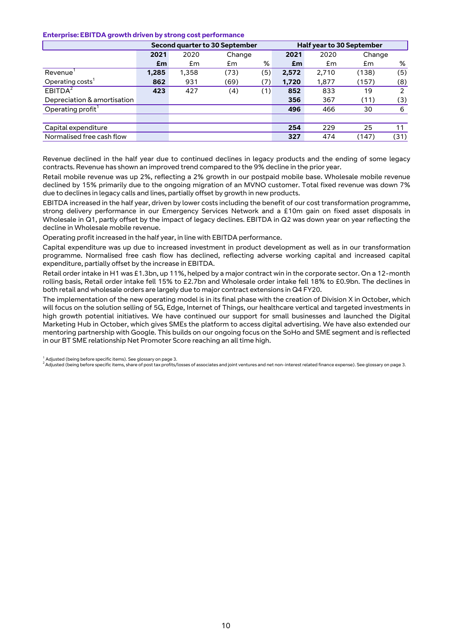#### **Enterprise: EBITDA growth driven by strong cost performance**

|                               | Second quarter to 30 September |       |        |     | <b>Half year to 30 September</b> |       |        |      |
|-------------------------------|--------------------------------|-------|--------|-----|----------------------------------|-------|--------|------|
|                               | 2021                           | 2020  | Change |     | 2021                             | 2020  | Change |      |
|                               | £m                             | £m    | £m     | %   | £m                               | £m    | £m     | %    |
| Revenue                       | 1,285                          | 1,358 | (73)   | (5) | 2,572                            | 2,710 | (138)  | (5)  |
| Operating costs'              | 862                            | 931   | (69)   | (7) | 1,720                            | 1,877 | (157)  | (8)  |
| EBITDA <sup>2</sup>           | 423                            | 427   | (4)    | (1) | 852                              | 833   | 19     | 2    |
| Depreciation & amortisation   |                                |       |        |     | 356                              | 367   | (11)   | (3)  |
| Operating profit <sup>1</sup> |                                |       |        |     | 496                              | 466   | 30     | 6    |
|                               |                                |       |        |     |                                  |       |        |      |
| Capital expenditure           |                                |       |        |     | 254                              | 229   | 25     | 11   |
| Normalised free cash flow     |                                |       |        |     | 327                              | 474   | (147)  | (31) |

Revenue declined in the half year due to continued declines in legacy products and the ending of some legacy contracts. Revenue has shown an improved trend compared to the 9% decline in the prior year.

Retail mobile revenue was up 2%, reflecting a 2% growth in our postpaid mobile base. Wholesale mobile revenue declined by 15% primarily due to the ongoing migration of an MVNO customer. Total fixed revenue was down 7% due to declines in legacy calls and lines, partially offset by growth in new products.

EBITDA increased in the half year, driven by lower costs including the benefit of our cost transformation programme, strong delivery performance in our Emergency Services Network and a £10m gain on fixed asset disposals in Wholesale in Q1, partly offset by the impact of legacy declines. EBITDA in Q2 was down year on year reflecting the decline in Wholesale mobile revenue.

Operating profit increased in the half year, in line with EBITDA performance.

Capital expenditure was up due to increased investment in product development as well as in our transformation programme. Normalised free cash flow has declined, reflecting adverse working capital and increased capital expenditure, partially offset by the increase in EBITDA.

Retail order intake in H1 was £1.3bn, up 11%, helped by a major contract win in the corporate sector. On a 12-month rolling basis, Retail order intake fell 15% to £2.7bn and Wholesale order intake fell 18% to £0.9bn. The declines in both retail and wholesale orders are largely due to major contract extensions in Q4 FY20.

The implementation of the new operating model is in its final phase with the creation of Division X in October, which will focus on the solution selling of 5G, Edge, Internet of Things, our healthcare vertical and targeted investments in high growth potential initiatives. We have continued our support for small businesses and launched the Digital Marketing Hub in October, which gives SMEs the platform to access digital advertising. We have also extended our mentoring partnership with Google. This builds on our ongoing focus on the SoHo and SME segment and is reflected in our BT SME relationship Net Promoter Score reaching an all time high.

 $^1$  Adjusted (being before specific items). See glossary on page 3.

<sup>2</sup>Adjusted (being before specific items, share of post tax profits/losses of associates and joint ventures and net non-interest related finance expense). See glossary on page 3.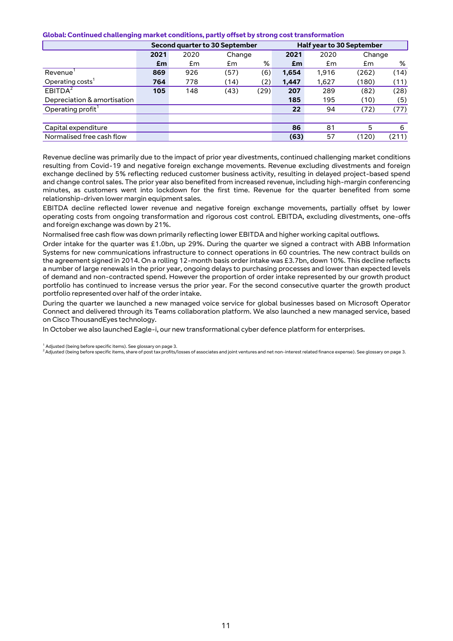#### **Global: Continued challenging market conditions, partly offset by strong cost transformation**

|                               | Second quarter to 30 September |      |        |      |       | <b>Half year to 30 September</b> |        |       |
|-------------------------------|--------------------------------|------|--------|------|-------|----------------------------------|--------|-------|
|                               | 2021                           | 2020 | Change |      | 2021  | 2020                             | Change |       |
|                               | £m                             | £m   | £m     | %    | £m    | £m                               | £m     | %     |
| Revenue <sup>'</sup>          | 869                            | 926  | (57)   | (6)  | 1,654 | 1,916                            | (262)  | (14)  |
| Operating costs'              | 764                            | 778  | (14)   | (2)  | 1,447 | 1,627                            | (180)  | (11)  |
| EBITDA <sup>2</sup>           | 105                            | 148  | (43)   | (29) | 207   | 289                              | (82)   | (28)  |
| Depreciation & amortisation   |                                |      |        |      | 185   | 195                              | (10)   | (5)   |
| Operating profit <sup>1</sup> |                                |      |        |      | 22    | 94                               | (72)   | (77)  |
|                               |                                |      |        |      |       |                                  |        |       |
| Capital expenditure           |                                |      |        |      | 86    | 81                               | 5      | 6     |
| Normalised free cash flow     |                                |      |        |      | (63)  | 57                               | (120)  | (211) |

Revenue decline was primarily due to the impact of prior year divestments, continued challenging market conditions resulting from Covid-19 and negative foreign exchange movements. Revenue excluding divestments and foreign exchange declined by 5% reflecting reduced customer business activity, resulting in delayed project-based spend and change control sales. The prior year also benefited from increased revenue, including high-margin conferencing minutes, as customers went into lockdown for the first time. Revenue for the quarter benefited from some relationship-driven lower margin equipment sales.

EBITDA decline reflected lower revenue and negative foreign exchange movements, partially offset by lower operating costs from ongoing transformation and rigorous cost control. EBITDA, excluding divestments, one-offs and foreign exchange was down by 21%.

Normalised free cash flow was down primarily reflecting lower EBITDA and higher working capital outflows.

Order intake for the quarter was £1.0bn, up 29%. During the quarter we signed a contract with ABB Information Systems for new communications infrastructure to connect operations in 60 countries. The new contract builds on the agreement signed in 2014. On a rolling 12-month basis order intake was £3.7bn, down 10%. This decline reflects a number of large renewals in the prior year, ongoing delays to purchasing processes and lower than expected levels of demand and non-contracted spend. However the proportion of order intake represented by our growth product portfolio has continued to increase versus the prior year. For the second consecutive quarter the growth product portfolio represented over half of the order intake.

During the quarter we launched a new managed voice service for global businesses based on Microsoft Operator Connect and delivered through its Teams collaboration platform. We also launched a new managed service, based on Cisco ThousandEyes technology.

In October we also launched Eagle-i, our new transformational cyber defence platform for enterprises.

<sup>1</sup> Adjusted (being before specific items). See glossary on page 3.<br><sup>2</sup> Adjusted (being before specific items, share of post tax profits/losses of associates and joint ventures and net non-interest related finance expense)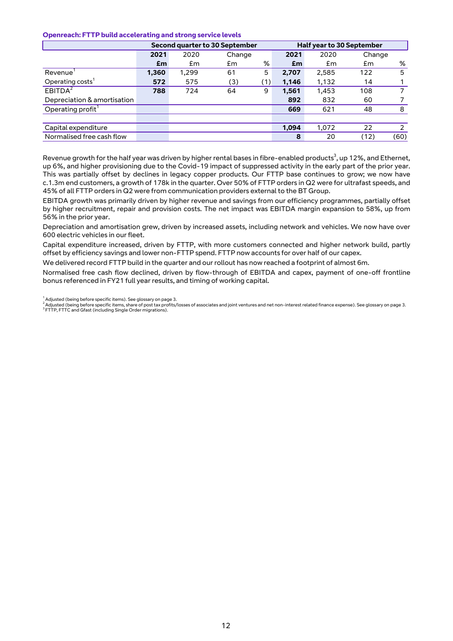#### **Openreach: FTTP build accelerating and strong service levels**

|                               | Second quarter to 30 September |       |        |     |       | <b>Half year to 30 September</b> |        |      |
|-------------------------------|--------------------------------|-------|--------|-----|-------|----------------------------------|--------|------|
|                               | 2021                           | 2020  | Change |     | 2021  | 2020                             | Change |      |
|                               | £m                             | £m    | £m     | %   | £m    | £m                               | £m     | %    |
| Revenue                       | 1,360                          | 1,299 | 61     | 5   | 2,707 | 2,585                            | 122    | 5    |
| Operating costs'              | 572                            | 575   | (3)    | (1) | 1,146 | 1,132                            | 14     |      |
| EBITDA <sup>2</sup>           | 788                            | 724   | 64     | 9   | 1,561 | 1,453                            | 108    |      |
| Depreciation & amortisation   |                                |       |        |     | 892   | 832                              | 60     |      |
| Operating profit <sup>1</sup> |                                |       |        |     | 669   | 621                              | 48     | 8    |
|                               |                                |       |        |     |       |                                  |        |      |
| Capital expenditure           |                                |       |        |     | 1,094 | 1,072                            | 22     |      |
| Normalised free cash flow     |                                |       |        |     | 8     | 20                               | (12)   | (60) |

Revenue growth for the half year was driven by higher rental bases in fibre-enabled products $^3$ , up 12%, and Ethernet, up 6%, and higher provisioning due to the Covid-19 impact of suppressed activity in the early part of the prior year. This was partially offset by declines in legacy copper products. Our FTTP base continues to grow; we now have c.1.3m end customers, a growth of 178k in the quarter. Over 50% of FTTP orders in Q2 were for ultrafast speeds, and 45% of all FTTP orders in Q2 were from communication providers external to the BT Group.

EBITDA growth was primarily driven by higher revenue and savings from our efficiency programmes, partially offset by higher recruitment, repair and provision costs. The net impact was EBITDA margin expansion to 58%, up from 56% in the prior year.

Depreciation and amortisation grew, driven by increased assets, including network and vehicles. We now have over 600 electric vehicles in our fleet.

Capital expenditure increased, driven by FTTP, with more customers connected and higher network build, partly offset by efficiency savings and lower non-FTTP spend. FTTP now accounts for over half of our capex.

We delivered record FTTP build in the quarter and our rollout has now reached a footprint of almost 6m.

Normalised free cash flow declined, driven by flow-through of EBITDA and capex, payment of one-off frontline bonus referenced in FY21 full year results, and timing of working capital.

 $^{\rm 1}$  Adjusted (being before specific items). See glossary on page 3.

<sup>2</sup> Adjusted (being before specific items, share of post tax profits/losses of associates and joint ventures and net non-interest related finance expense). See glossary on page 3.<br><sup>3</sup> FTTP, FTTC and Gfast (including Single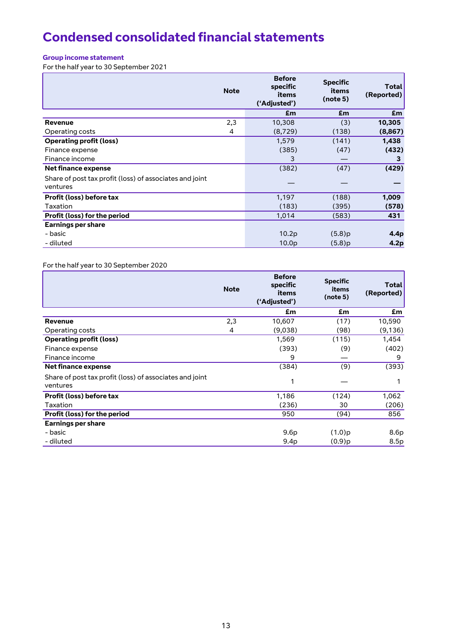# **Condensed consolidated financial statements**

# **Group income statement**

For the half year to 30 September 2021

|                                                                     | <b>Note</b> | <b>Before</b><br>specific<br>items<br>('Adjusted') | <b>Specific</b><br>items<br>(note 5) | Total<br>(Reported) |
|---------------------------------------------------------------------|-------------|----------------------------------------------------|--------------------------------------|---------------------|
|                                                                     |             | £m                                                 | £m                                   | £m                  |
| <b>Revenue</b>                                                      | 2,3         | 10,308                                             | (3)                                  | 10,305              |
| Operating costs                                                     | 4           | (8,729)                                            | (138)                                | (8,867)             |
| <b>Operating profit (loss)</b>                                      |             | 1,579                                              | (141)                                | 1,438               |
| Finance expense                                                     |             | (385)                                              | (47)                                 | (432)               |
| Finance income                                                      |             | 3                                                  |                                      | 3                   |
| Net finance expense                                                 |             | (382)                                              | (47)                                 | (429)               |
| Share of post tax profit (loss) of associates and joint<br>ventures |             |                                                    |                                      |                     |
| Profit (loss) before tax                                            |             | 1,197                                              | (188)                                | 1,009               |
| Taxation                                                            |             | (183)                                              | (395)                                | (578)               |
| <b>Profit (loss) for the period</b>                                 |             | 1,014                                              | (583)                                | 431                 |
| <b>Earnings per share</b>                                           |             |                                                    |                                      |                     |
| - basic                                                             |             | 10.2p                                              | (5.8)p                               | 4.4p                |
| - diluted                                                           |             | 10.0 <sub>p</sub>                                  | (5.8)p                               | 4.2p                |

# For the half year to 30 September 2020

| <b>Note</b> | <b>Before</b><br>specific<br>items<br>('Adjusted') | <b>Specific</b><br>items<br>(note 5) | Total<br>(Reported) |
|-------------|----------------------------------------------------|--------------------------------------|---------------------|
|             | £m                                                 | £m                                   | £m                  |
| 2,3         | 10,607                                             | (17)                                 | 10,590              |
| 4           | (9,038)                                            | (98)                                 | (9,136)             |
|             | 1,569                                              | (115)                                | 1,454               |
|             | (393)                                              | (9)                                  | (402)               |
|             | 9                                                  |                                      | 9                   |
|             | (384)                                              | (9)                                  | (393)               |
|             | 1                                                  |                                      |                     |
|             | 1,186                                              | (124)                                | 1,062               |
|             | (236)                                              | 30                                   | (206)               |
|             | 950                                                | (94)                                 | 856                 |
|             |                                                    |                                      |                     |
|             | 9.6p                                               | $(1.0)$ p                            | 8.6p                |
|             | 9.4p                                               | $(0.9)$ p                            | 8.5p                |
|             |                                                    |                                      |                     |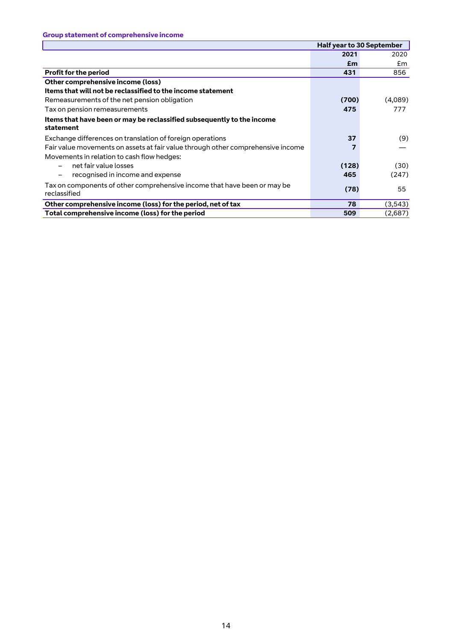|                                                                                          | <b>Half year to 30 September</b> |          |
|------------------------------------------------------------------------------------------|----------------------------------|----------|
|                                                                                          | 2021                             | 2020     |
|                                                                                          | £m                               | £m       |
| <b>Profit for the period</b>                                                             | 431                              | 856      |
| Other comprehensive income (loss)                                                        |                                  |          |
| Items that will not be reclassified to the income statement                              |                                  |          |
| Remeasurements of the net pension obligation                                             | (700)                            | (4,089)  |
| Tax on pension remeasurements                                                            | 475                              | 777      |
| Items that have been or may be reclassified subsequently to the income<br>statement      |                                  |          |
| Exchange differences on translation of foreign operations                                | 37                               | (9)      |
| Fair value movements on assets at fair value through other comprehensive income          |                                  |          |
| Movements in relation to cash flow hedges:                                               |                                  |          |
| net fair value losses                                                                    | (128)                            | (30)     |
| recognised in income and expense<br>-                                                    | 465                              | (247)    |
| Tax on components of other comprehensive income that have been or may be<br>reclassified | (78)                             | 55       |
| Other comprehensive income (loss) for the period, net of tax                             | 78                               | (3, 543) |
| Total comprehensive income (loss) for the period                                         | 509                              | (2,687)  |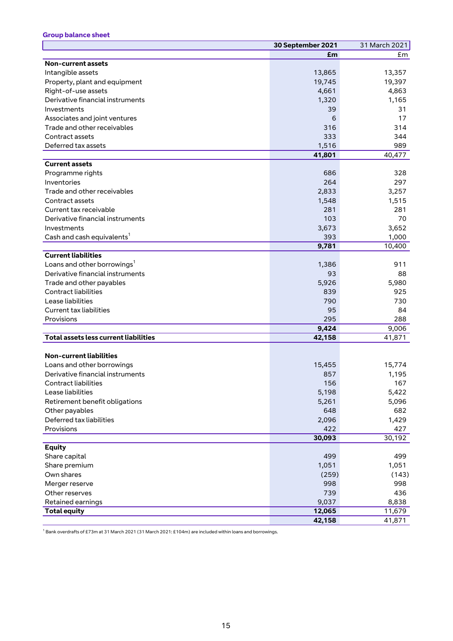# **Group balance sheet**

|                                              | 30 September 2021 | 31 March 2021 |
|----------------------------------------------|-------------------|---------------|
|                                              | £m                | £m            |
| <b>Non-current assets</b>                    |                   |               |
| Intangible assets                            | 13,865            | 13,357        |
| Property, plant and equipment                | 19,745            | 19,397        |
| Right-of-use assets                          | 4,661             | 4,863         |
| Derivative financial instruments             | 1,320             | 1,165         |
| Investments                                  | 39                | 31            |
| Associates and joint ventures                | 6                 | 17            |
| Trade and other receivables                  | 316               | 314           |
| Contract assets                              | 333               | 344           |
| Deferred tax assets                          | 1,516             | 989           |
|                                              | 41,801            | 40,477        |
| <b>Current assets</b>                        |                   |               |
| Programme rights                             | 686               | 328           |
| Inventories                                  | 264               | 297           |
| Trade and other receivables                  | 2,833             | 3,257         |
| Contract assets                              | 1,548             | 1,515         |
| Current tax receivable                       | 281               | 281           |
| Derivative financial instruments             | 103               | 70            |
| Investments                                  | 3,673             | 3,652         |
| Cash and cash equivalents <sup>1</sup>       | 393               | 1,000         |
|                                              | 9,781             | 10,400        |
| <b>Current liabilities</b>                   |                   |               |
| Loans and other borrowings <sup>1</sup>      | 1,386             | 911           |
| Derivative financial instruments             | 93                | 88            |
| Trade and other payables                     | 5,926             | 5,980         |
| <b>Contract liabilities</b>                  | 839               | 925           |
| Lease liabilities                            | 790               | 730           |
| <b>Current tax liabilities</b>               | 95                | 84            |
| Provisions                                   | 295               | 288           |
|                                              | 9,424             | 9,006         |
| <b>Total assets less current liabilities</b> | 42,158            | 41,871        |
|                                              |                   |               |
| <b>Non-current liabilities</b>               |                   |               |
| Loans and other borrowings                   | 15,455            | 15,774        |
| Derivative financial instruments             | 857               | 1,195         |
| Contract liabilities                         | 156               | 167           |
| Lease liabilities                            | 5,198             | 5,422         |
| Retirement benefit obligations               | 5,261             | 5,096         |
| Other payables                               | 648               | 682           |
| Deferred tax liabilities                     | 2,096             | 1,429         |
| Provisions                                   | 422               | 427           |
|                                              | 30,093            | 30,192        |
| <b>Equity</b>                                |                   |               |
| Share capital                                | 499               | 499           |
| Share premium                                | 1,051             | 1,051         |
| Own shares                                   | (259)             | (143)         |
| Merger reserve                               | 998               | 998           |
| Other reserves                               | 739               | 436           |
| Retained earnings                            | 9,037             | 8,838         |
| <b>Total equity</b>                          | 12,065            | 11,679        |
|                                              | 42,158            | 41,871        |

 $^{\rm 1}$  Bank overdrafts of £73m at 31 March 2021 (31 March 2021: £104m) are included within loans and borrowings.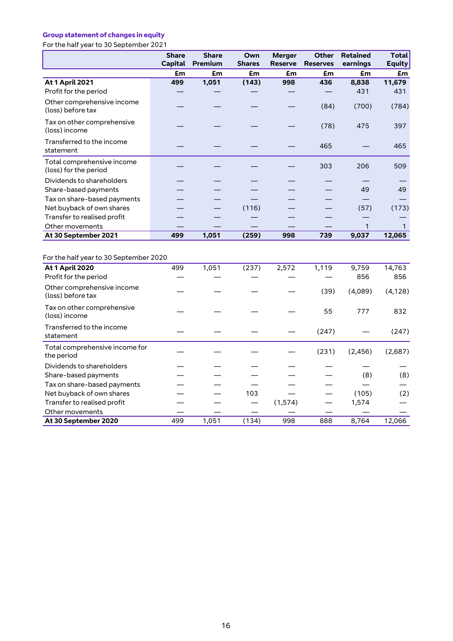# **Group statement of changes in equity**

For the half year to 30 September 2021

|                                                                  | <b>Share</b><br><b>Capital</b> | <b>Share</b><br><b>Premium</b> | Own<br><b>Shares</b> | <b>Merger</b><br><b>Reserve</b> | Other<br><b>Reserves</b> | <b>Retained</b><br>earnings | <b>Total</b><br><b>Equity</b> |
|------------------------------------------------------------------|--------------------------------|--------------------------------|----------------------|---------------------------------|--------------------------|-----------------------------|-------------------------------|
|                                                                  | £m                             | £m                             | £m                   | £m                              | £m                       | £m                          | £m                            |
| <b>At 1 April 2021</b>                                           | 499                            | 1,051                          | (143)                | 998                             | 436                      | 8,838                       | 11,679                        |
| Profit for the period                                            |                                |                                |                      |                                 |                          | 431                         | 431                           |
| Other comprehensive income<br>(loss) before tax                  |                                |                                |                      |                                 | (84)                     | (700)                       | (784)                         |
| Tax on other comprehensive<br>(loss) income                      |                                |                                |                      |                                 | (78)                     | 475                         | 397                           |
| Transferred to the income<br>statement                           |                                |                                |                      |                                 | 465                      |                             | 465                           |
| Total comprehensive income<br>(loss) for the period              |                                |                                |                      |                                 | 303                      | 206                         | 509                           |
| Dividends to shareholders                                        |                                |                                |                      |                                 |                          |                             |                               |
| Share-based payments                                             |                                |                                |                      |                                 |                          | 49                          | 49                            |
| Tax on share-based payments                                      |                                |                                |                      |                                 |                          |                             |                               |
| Net buyback of own shares                                        |                                |                                | (116)                |                                 |                          | (57)                        | (173)                         |
| Transfer to realised profit                                      |                                |                                |                      |                                 |                          |                             |                               |
| Other movements                                                  |                                |                                |                      |                                 |                          | $\mathbf{1}$                | $\mathbf{1}$                  |
| At 30 September 2021                                             | 499                            | 1,051                          | (259)                | 998                             | 739                      | 9,037                       | 12,065                        |
| For the half year to 30 September 2020<br><b>At 1 April 2020</b> | 499                            | 1,051                          | (237)                | 2,572                           | 1,119                    | 9,759                       | 14,763                        |
| Profit for the period                                            |                                |                                |                      |                                 |                          | 856                         | 856                           |
| Other comprehensive income<br>(loss) before tax                  |                                |                                |                      |                                 | (39)                     | (4,089)                     | (4, 128)                      |
| Tax on other comprehensive<br>(loss) income                      |                                |                                |                      |                                 | 55                       | 777                         | 832                           |
| Transferred to the income<br>statement                           |                                |                                |                      |                                 | (247)                    |                             | (247)                         |
| Total comprehensive income for<br>the period                     |                                |                                |                      |                                 | (231)                    | (2, 456)                    | (2,687)                       |
| Dividends to shareholders                                        |                                |                                |                      |                                 |                          |                             |                               |
| Share-based payments                                             |                                |                                |                      |                                 |                          | (8)                         | (8)                           |
| Tax on share-based payments                                      |                                |                                |                      |                                 |                          |                             |                               |
| Net buyback of own shares                                        |                                |                                | 103                  |                                 |                          | (105)                       | (2)                           |
| Transfer to realised profit                                      |                                |                                |                      | (1, 574)                        |                          | 1,574                       |                               |
| Other movements                                                  |                                |                                |                      |                                 |                          |                             |                               |
| At 30 September 2020                                             | 499                            | 1,051                          | (134)                | 998                             | 888                      | 8,764                       | 12,066                        |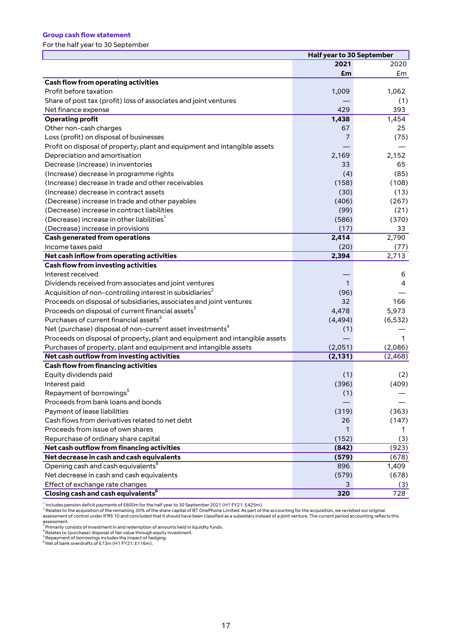#### **Group cash flow statement**

For the half year to 30 September

|                                                                                                                                      | Half year to 30 September |              |  |  |
|--------------------------------------------------------------------------------------------------------------------------------------|---------------------------|--------------|--|--|
|                                                                                                                                      | 2021                      | 2020         |  |  |
|                                                                                                                                      | £m                        | £m           |  |  |
| <b>Cash flow from operating activities</b>                                                                                           |                           |              |  |  |
| Profit before taxation                                                                                                               | 1,009                     | 1,062        |  |  |
| Share of post tax (profit) loss of associates and joint ventures                                                                     |                           | (1)          |  |  |
| Net finance expense                                                                                                                  | 429                       | 393          |  |  |
| <b>Operating profit</b>                                                                                                              | 1,438                     | 1,454        |  |  |
| Other non-cash charges                                                                                                               | 67                        | 25           |  |  |
| Loss (profit) on disposal of businesses                                                                                              | 7                         | (75)         |  |  |
| Profit on disposal of property, plant and equipment and intangible assets                                                            |                           |              |  |  |
| Depreciation and amortisation                                                                                                        | 2,169                     | 2,152        |  |  |
| Decrease (increase) in inventories                                                                                                   | 33                        | 65           |  |  |
| (Increase) decrease in programme rights                                                                                              | (4)                       | (85)         |  |  |
| (Increase) decrease in trade and other receivables                                                                                   | (158)                     | (108)        |  |  |
| (Increase) decrease in contract assets                                                                                               | (30)                      | (13)         |  |  |
| (Decrease) increase in trade and other payables                                                                                      | (406)                     | (267)        |  |  |
| (Decrease) increase in contract liabilities                                                                                          | (99)                      | (21)         |  |  |
| (Decrease) increase in other liabilities <sup>1</sup>                                                                                | (586)                     | (370)        |  |  |
| (Decrease) increase in provisions                                                                                                    | (17)                      | 33           |  |  |
| <b>Cash generated from operations</b>                                                                                                | 2,414                     | 2,790        |  |  |
| Income taxes paid                                                                                                                    | (20)                      | (77)         |  |  |
| Net cash inflow from operating activities                                                                                            | 2,394                     | 2,713        |  |  |
| <b>Cash flow from investing activities</b><br>Interest received                                                                      |                           |              |  |  |
|                                                                                                                                      |                           | 6            |  |  |
| Dividends received from associates and joint ventures                                                                                | 1                         | 4            |  |  |
| Acquisition of non-controlling interest in subsidiaries <sup>2</sup>                                                                 | (96)                      |              |  |  |
| Proceeds on disposal of subsidiaries, associates and joint ventures<br>Proceeds on disposal of current financial assets <sup>3</sup> | 32                        | 166<br>5,973 |  |  |
| Purchases of current financial assets <sup>3</sup>                                                                                   | 4,478<br>(4, 494)         | (6, 532)     |  |  |
| Net (purchase) disposal of non-current asset investments <sup>4</sup>                                                                |                           |              |  |  |
| Proceeds on disposal of property, plant and equipment and intangible assets                                                          | (1)                       | 1            |  |  |
| Purchases of property, plant and equipment and intangible assets                                                                     | (2,051)                   | (2,086)      |  |  |
| Net cash outflow from investing activities                                                                                           | (2, 131)                  | (2,468)      |  |  |
| <b>Cash flow from financing activities</b>                                                                                           |                           |              |  |  |
| Equity dividends paid                                                                                                                | (1)                       | (2)          |  |  |
| Interest paid                                                                                                                        | (396)                     | (409)        |  |  |
| Repayment of borrowings <sup>5</sup>                                                                                                 | (1)                       |              |  |  |
| Proceeds from bank loans and bonds                                                                                                   |                           |              |  |  |
| Payment of lease liabilities                                                                                                         | (319)                     | (363)        |  |  |
| Cash flows from derivatives related to net debt                                                                                      | 26                        | (147)        |  |  |
| Proceeds from issue of own shares                                                                                                    | 1                         | 1            |  |  |
| Repurchase of ordinary share capital                                                                                                 | (152)                     | (3)          |  |  |
| Net cash outflow from financing activities                                                                                           | (842)                     | (923)        |  |  |
| Net decrease in cash and cash equivalents                                                                                            | (579)                     | (678)        |  |  |
| Opening cash and cash equivalents <sup>6</sup>                                                                                       | 896                       | 1,409        |  |  |
| Net decrease in cash and cash equivalents                                                                                            | (579)                     | (678)        |  |  |
| Effect of exchange rate changes                                                                                                      | 3                         | (3)          |  |  |
| Closing cash and cash equivalents <sup>6</sup>                                                                                       | 320                       | 728          |  |  |

<sup>1</sup> Includes pension deficit payments of £600m for the half year to 30 September 2021 (H1 FY21: £425m).<br><sup>2</sup> Relates to the acquisition of the remaining 30% of the share capital of BT OnePhone Limited. As part of the accoun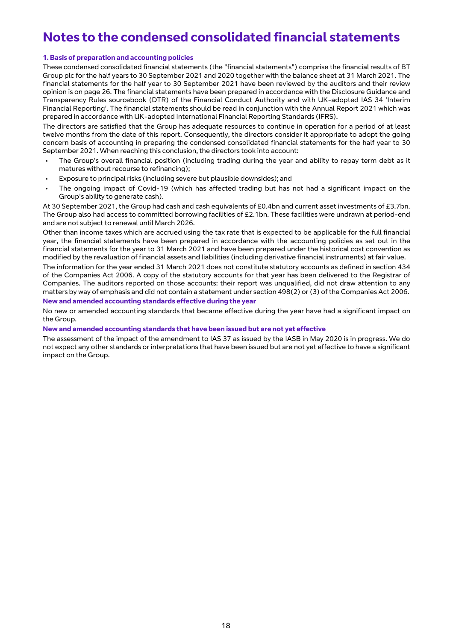# **Notes to the condensed consolidated financial statements**

#### **1. Basis of preparation and accounting policies**

These condensed consolidated financial statements (the "financial statements") comprise the financial results of BT Group plc for the half years to 30 September 2021 and 2020 together with the balance sheet at 31 March 2021. The financial statements for the half year to 30 September 2021 have been reviewed by the auditors and their review opinion is on page 26. The financial statements have been prepared in accordance with the Disclosure Guidance and Transparency Rules sourcebook (DTR) of the Financial Conduct Authority and with UK-adopted IAS 34 'Interim Financial Reporting'. The financial statements should be read in conjunction with the Annual Report 2021 which was prepared in accordance with UK-adopted International Financial Reporting Standards (IFRS).

The directors are satisfied that the Group has adequate resources to continue in operation for a period of at least twelve months from the date of this report. Consequently, the directors consider it appropriate to adopt the going concern basis of accounting in preparing the condensed consolidated financial statements for the half year to 30 September 2021. When reaching this conclusion, the directors took into account:

- The Group's overall financial position (including trading during the year and ability to repay term debt as it matures without recourse to refinancing);
- Exposure to principal risks (including severe but plausible downsides); and
- The ongoing impact of Covid-19 (which has affected trading but has not had a significant impact on the Group's ability to generate cash).

At 30 September 2021, the Group had cash and cash equivalents of £0.4bn and current asset investments of £3.7bn. The Group also had access to committed borrowing facilities of £2.1bn. These facilities were undrawn at period-end and are not subject to renewal until March 2026.

Other than income taxes which are accrued using the tax rate that is expected to be applicable for the full financial year, the financial statements have been prepared in accordance with the accounting policies as set out in the financial statements for the year to 31 March 2021 and have been prepared under the historical cost convention as modified by the revaluation of financial assets and liabilities (including derivative financial instruments) at fair value.

The information for the year ended 31 March 2021 does not constitute statutory accounts as defined in section 434 of the Companies Act 2006. A copy of the statutory accounts for that year has been delivered to the Registrar of Companies. The auditors reported on those accounts: their report was unqualified, did not draw attention to any matters by way of emphasis and did not contain a statement under section 498(2) or (3) of the Companies Act 2006.

#### **New and amended accounting standards effective during the year**

No new or amended accounting standards that became effective during the year have had a significant impact on the Group.

**New and amended accounting standards that have been issued but are not yet effective**

The assessment of the impact of the amendment to IAS 37 as issued by the IASB in May 2020 is in progress. We do not expect any other standards or interpretations that have been issued but are not yet effective to have a significant impact on the Group.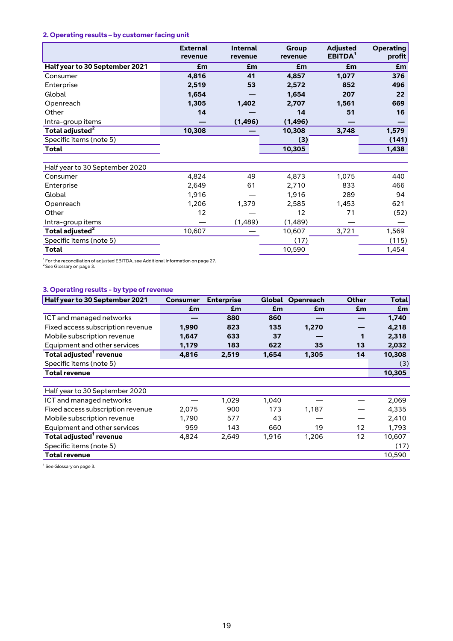# **2. Operating results – by customer facing unit**

|                                | <b>External</b> | <b>Internal</b> | Group         | <b>Adjusted</b><br>EBITDA <sup>1</sup> | <b>Operating</b> |
|--------------------------------|-----------------|-----------------|---------------|----------------------------------------|------------------|
| Half year to 30 September 2021 | revenue<br>£m   | revenue<br>£m   | revenue<br>£m | £m                                     | profit<br>£m     |
|                                |                 |                 |               |                                        |                  |
| Consumer                       | 4,816           | 41              | 4,857         | 1,077                                  | 376              |
| Enterprise                     | 2,519           | 53              | 2,572         | 852                                    | 496              |
| Global                         | 1,654           |                 | 1,654         | 207                                    | 22               |
| Openreach                      | 1,305           | 1,402           | 2,707         | 1,561                                  | 669              |
| Other                          | 14              |                 | 14            | 51                                     | 16               |
| Intra-group items              |                 | (1, 496)        | (1, 496)      |                                        |                  |
| Total adjusted <sup>2</sup>    | 10,308          |                 | 10,308        | 3,748                                  | 1,579            |
| Specific items (note 5)        |                 |                 | (3)           |                                        | (141)            |
| Total                          |                 |                 | 10,305        |                                        | 1,438            |
|                                |                 |                 |               |                                        |                  |
| Half year to 30 September 2020 |                 |                 |               |                                        |                  |
| Consumer                       | 4,824           | 49              | 4,873         | 1,075                                  | 440              |
| Enterprise                     | 2,649           | 61              | 2,710         | 833                                    | 466              |
| Global                         | 1,916           |                 | 1,916         | 289                                    | 94               |
| Openreach                      | 1,206           | 1,379           | 2,585         | 1,453                                  | 621              |
| Other                          | 12              |                 | 12            | 71                                     | (52)             |
| Intra-group items              |                 | (1,489)         | (1,489)       |                                        |                  |
| Total adjusted <sup>2</sup>    | 10,607          |                 | 10,607        | 3,721                                  | 1,569            |
| Specific items (note 5)        |                 |                 | (17)          |                                        | (115)            |
| <b>Total</b>                   |                 |                 | 10,590        |                                        |                  |

<sup>1</sup> For the reconciliation of adjusted EBITDA, see Additional Information on page 27.<br><sup>2</sup> See Glossary on page 3.

## **3. Operating results - by type of revenue**

| Consumer | <b>Enterprise</b> |       | Openreach | <b>Other</b> | Total  |
|----------|-------------------|-------|-----------|--------------|--------|
| £m       | £m                | £m    | £m        | £m           | £m     |
|          | 880               | 860   |           |              | 1,740  |
| 1,990    | 823               | 135   | 1,270     |              | 4,218  |
| 1,647    | 633               | 37    |           | 1            | 2,318  |
| 1,179    | 183               | 622   | 35        | 13           | 2,032  |
| 4,816    | 2,519             | 1,654 | 1,305     | 14           | 10,308 |
|          |                   |       |           |              | (3)    |
|          |                   |       |           |              | 10,305 |
|          |                   |       |           |              |        |
|          |                   |       |           |              |        |
|          | 1,029             | 1,040 |           |              | 2,069  |
| 2,075    | 900               | 173   | 1,187     |              | 4,335  |
| 1,790    | 577               | 43    |           |              | 2,410  |
| 959      | 143               | 660   | 19        | 12           | 1,793  |
| 4,824    | 2,649             | 1,916 | 1,206     | 12           | 10,607 |
|          |                   |       |           |              | (17)   |
|          |                   |       |           |              | 10,590 |
|          |                   |       |           | Global       |        |

<sup>1</sup> See Glossary on page 3.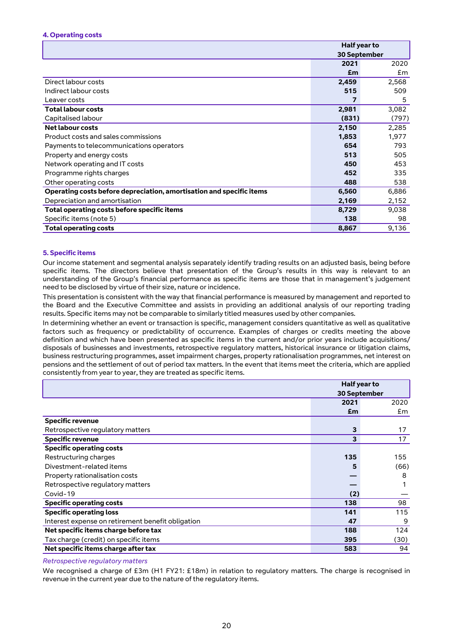#### **4. Operating costs**

|                                                                      | Half year to        |       |
|----------------------------------------------------------------------|---------------------|-------|
|                                                                      | <b>30 September</b> |       |
|                                                                      | 2021                | 2020  |
|                                                                      | £m                  | £m    |
| Direct labour costs                                                  | 2,459               | 2,568 |
| Indirect labour costs                                                | 515                 | 509   |
| Leaver costs                                                         |                     | 5     |
| <b>Total labour costs</b>                                            | 2,981               | 3,082 |
| Capitalised labour                                                   | (831)               | (797) |
| Net labour costs                                                     | 2,150               | 2,285 |
| Product costs and sales commissions                                  | 1,853               | 1,977 |
| Payments to telecommunications operators                             | 654                 | 793   |
| Property and energy costs                                            | 513                 | 505   |
| Network operating and IT costs                                       | 450                 | 453   |
| Programme rights charges                                             | 452                 | 335   |
| Other operating costs                                                | 488                 | 538   |
| Operating costs before depreciation, amortisation and specific items | 6,560               | 6,886 |
| Depreciation and amortisation                                        | 2,169               | 2,152 |
| Total operating costs before specific items                          | 8,729               | 9,038 |
| Specific items (note 5)                                              | 138                 | 98    |
| <b>Total operating costs</b>                                         | 8,867               | 9,136 |

#### **5. Specific items**

Our income statement and segmental analysis separately identify trading results on an adjusted basis, being before specific items. The directors believe that presentation of the Group's results in this way is relevant to an understanding of the Group's financial performance as specific items are those that in management's judgement need to be disclosed by virtue of their size, nature or incidence.

This presentation is consistent with the way that financial performance is measured by management and reported to the Board and the Executive Committee and assists in providing an additional analysis of our reporting trading results. Specific items may not be comparable to similarly titled measures used by other companies.

In determining whether an event or transaction is specific, management considers quantitative as well as qualitative factors such as frequency or predictability of occurrence. Examples of charges or credits meeting the above definition and which have been presented as specific items in the current and/or prior years include acquisitions/ disposals of businesses and investments, retrospective regulatory matters, historical insurance or litigation claims, business restructuring programmes, asset impairment charges, property rationalisation programmes, net interest on pensions and the settlement of out of period tax matters. In the event that items meet the criteria, which are applied consistently from year to year, they are treated as specific items.

|                                                   |                     | Half year to |  |  |
|---------------------------------------------------|---------------------|--------------|--|--|
|                                                   | <b>30 September</b> |              |  |  |
|                                                   | 2021                | 2020         |  |  |
|                                                   | £m                  | £m           |  |  |
| <b>Specific revenue</b>                           |                     |              |  |  |
| Retrospective regulatory matters                  | 3                   | 17           |  |  |
| <b>Specific revenue</b>                           | 3                   | 17           |  |  |
| <b>Specific operating costs</b>                   |                     |              |  |  |
| Restructuring charges                             | 135                 | 155          |  |  |
| Divestment-related items                          | 5                   | (66)         |  |  |
| Property rationalisation costs                    |                     | 8            |  |  |
| Retrospective regulatory matters                  |                     |              |  |  |
| Covid-19                                          | (2)                 |              |  |  |
| <b>Specific operating costs</b>                   | 138                 | 98           |  |  |
| <b>Specific operating loss</b>                    | 141                 | 115          |  |  |
| Interest expense on retirement benefit obligation | 47                  | 9            |  |  |
| Net specific items charge before tax              | 188                 | 124          |  |  |
| Tax charge (credit) on specific items             | 395                 | (30)         |  |  |
| Net specific items charge after tax               | 583                 | 94           |  |  |

#### *Retrospective regulatory matters*

We recognised a charge of £3m (H1 FY21: £18m) in relation to regulatory matters. The charge is recognised in revenue in the current year due to the nature of the regulatory items.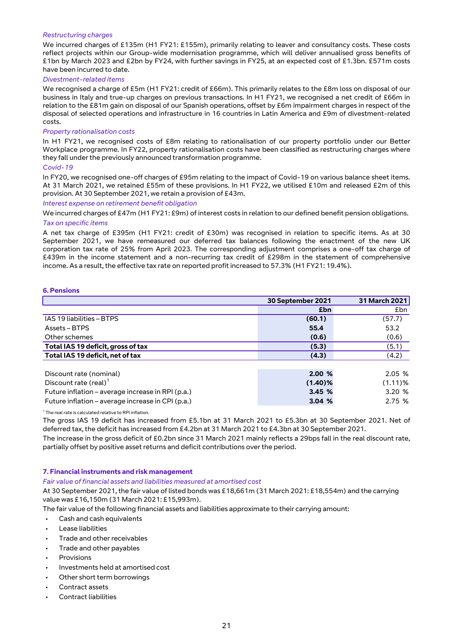#### *Restructuring charges*

We incurred charges of £135m (H1 FY21: £155m), primarily relating to leaver and consultancy costs. These costs reflect projects within our Group-wide modernisation programme, which will deliver annualised gross benefits of £1bn by March 2023 and £2bn by FY24, with further savings in FY25, at an expected cost of £1.3bn. £571m costs have been incurred to date.

#### *Divestment-related items*

We recognised a charge of £5m (H1 FY21: credit of £66m). This primarily relates to the £8m loss on disposal of our business in Italy and true-up charges on previous transactions. In H1 FY21, we recognised a net credit of £66m in relation to the £81m gain on disposal of our Spanish operations, offset by £6m impairment charges in respect of the disposal of selected operations and infrastructure in 16 countries in Latin America and £9m of divestment-related costs.

#### *Property rationalisation costs*

In H1 FY21, we recognised costs of £8m relating to rationalisation of our property portfolio under our Better Workplace programme. In FY22, property rationalisation costs have been classified as restructuring charges where they fall under the previously announced transformation programme.

#### *Covid-19*

In FY20, we recognised one-off charges of £95m relating to the impact of Covid-19 on various balance sheet items. At 31 March 2021, we retained £55m of these provisions. In H1 FY22, we utilised £10m and released £2m of this provision. At 30 September 2021, we retain a provision of £43m.

*Interest expense on retirement benefit obligation*

We incurred charges of £47m (H1 FY21: £9m) of interest costs in relation to our defined benefit pension obligations. *Tax on specific items*

A net tax charge of £395m (H1 FY21: credit of £30m) was recognised in relation to specific items. As at 30 September 2021, we have remeasured our deferred tax balances following the enactment of the new UK corporation tax rate of 25% from April 2023. The corresponding adjustment comprises a one-off tax charge of £439m in the income statement and a non-recurring tax credit of £298m in the statement of comprehensive income. As a result, the effective tax rate on reported profit increased to 57.3% (H1 FY21: 19.4%).

#### **6. Pensions**

|                                                   | 30 September 2021 | 31 March 2021 |
|---------------------------------------------------|-------------------|---------------|
|                                                   | £bn               | £bn           |
| IAS 19 liabilities - BTPS                         | (60.1)            | (57.7)        |
| Assets – BTPS                                     | 55.4              | 53.2          |
| Other schemes                                     | (0.6)             | (0.6)         |
| Total IAS 19 deficit, gross of tax                | (5.3)             | (5.1)         |
| Total IAS 19 deficit, net of tax                  | (4.3)             | (4.2)         |
|                                                   | 2.00%             | 2.05%         |
| Discount rate (nominal)                           |                   |               |
| Discount rate (real) $1$                          | $(1.40)\%$        | $(1.11)\%$    |
| Future inflation – average increase in RPI (p.a.) | 3.45%             | 3.20%         |
| Future inflation – average increase in CPI (p.a.) | 3.04%             | 2.75%         |

<sup>1</sup> The real rate is calculated relative to RPI inflation.

The gross IAS 19 deficit has increased from £5.1bn at 31 March 2021 to £5.3bn at 30 September 2021. Net of deferred tax, the deficit has increased from £4.2bn at 31 March 2021 to £4.3bn at 30 September 2021.

The increase in the gross deficit of £0.2bn since 31 March 2021 mainly reflects a 29bps fall in the real discount rate, partially offset by positive asset returns and deficit contributions over the period.

#### **7. Financial instruments and risk management**

#### *Fair value of financial assets and liabilities measured at amortised cost*

At 30 September 2021, the fair value of listed bonds was £18,661m (31 March 2021: £18,554m) and the carrying value was £16,150m (31 March 2021: £15,993m).

The fair value of the following financial assets and liabilities approximate to their carrying amount:

- Cash and cash equivalents
- Lease liabilities
- Trade and other receivables
- Trade and other payables
- **Provisions**
- Investments held at amortised cost
- Other short term borrowings
- Contract assets
- Contract liabilities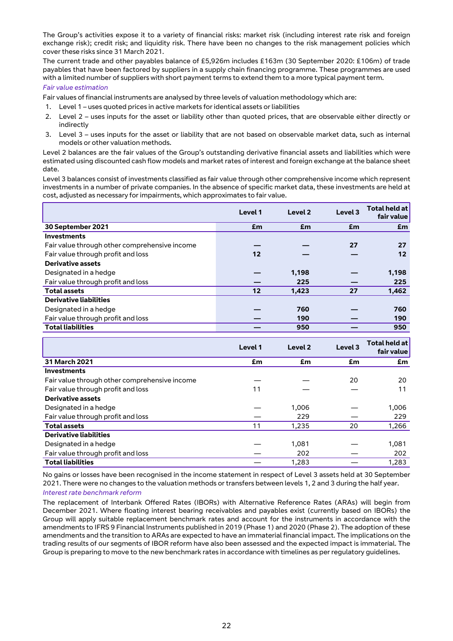The Group's activities expose it to a variety of financial risks: market risk (including interest rate risk and foreign exchange risk); credit risk; and liquidity risk. There have been no changes to the risk management policies which cover these risks since 31 March 2021.

The current trade and other payables balance of £5,926m includes £163m (30 September 2020: £106m) of trade payables that have been factored by suppliers in a supply chain financing programme. These programmes are used with a limited number of suppliers with short payment terms to extend them to a more typical payment term.

#### *Fair value estimation*

Fair values of financial instruments are analysed by three levels of valuation methodology which are:

- 1. Level 1 uses quoted prices in active markets for identical assets or liabilities
- 2. Level 2 uses inputs for the asset or liability other than quoted prices, that are observable either directly or indirectly
- 3. Level 3 uses inputs for the asset or liability that are not based on observable market data, such as internal models or other valuation methods.

Level 2 balances are the fair values of the Group's outstanding derivative financial assets and liabilities which were estimated using discounted cash flow models and market rates of interest and foreign exchange at the balance sheet date.

Level 3 balances consist of investments classified as fair value through other comprehensive income which represent investments in a number of private companies. In the absence of specific market data, these investments are held at cost, adjusted as necessary for impairments, which approximates to fair value.

|                                               | Level 1 | Level 2 | Level <sub>3</sub> | Total held at<br>fair value |
|-----------------------------------------------|---------|---------|--------------------|-----------------------------|
| 30 September 2021                             | £m      | £m      | £m                 | £m                          |
| <b>Investments</b>                            |         |         |                    |                             |
| Fair value through other comprehensive income |         |         | 27                 | 27                          |
| Fair value through profit and loss            | 12      |         |                    | 12                          |
| <b>Derivative assets</b>                      |         |         |                    |                             |
| Designated in a hedge                         |         | 1,198   |                    | 1,198                       |
| Fair value through profit and loss            |         | 225     |                    | 225                         |
| <b>Total assets</b>                           | 12      | 1,423   | 27                 | 1,462                       |
| <b>Derivative liabilities</b>                 |         |         |                    |                             |
| Designated in a hedge                         |         | 760     |                    | 760                         |
| Fair value through profit and loss            |         | 190     |                    | 190                         |
| <b>Total liabilities</b>                      |         | 950     |                    | 950                         |

|                                               | Level 1 | Level <sub>2</sub> | Level 3 | <b>Total held at</b><br>fair value |
|-----------------------------------------------|---------|--------------------|---------|------------------------------------|
| <b>31 March 2021</b>                          | £m      | £m                 | £m      | £m                                 |
| <b>Investments</b>                            |         |                    |         |                                    |
| Fair value through other comprehensive income |         |                    | 20      | 20                                 |
| Fair value through profit and loss            | 11      |                    |         | 11                                 |
| Derivative assets                             |         |                    |         |                                    |
| Designated in a hedge                         |         | 1,006              |         | 1,006                              |
| Fair value through profit and loss            |         | 229                |         | 229                                |
| <b>Total assets</b>                           | 11      | 1,235              | 20      | 1,266                              |
| <b>Derivative liabilities</b>                 |         |                    |         |                                    |
| Designated in a hedge                         |         | 1,081              |         | 1,081                              |
| Fair value through profit and loss            |         | 202                |         | 202                                |
| <b>Total liabilities</b>                      |         | 1,283              |         | 1.283                              |

No gains or losses have been recognised in the income statement in respect of Level 3 assets held at 30 September 2021. There were no changes to the valuation methods or transfers between levels 1, 2 and 3 during the half year.

#### *Interest rate benchmark reform*

The replacement of Interbank Offered Rates (IBORs) with Alternative Reference Rates (ARAs) will begin from December 2021. Where floating interest bearing receivables and payables exist (currently based on IBORs) the Group will apply suitable replacement benchmark rates and account for the instruments in accordance with the amendments to IFRS 9 Financial Instruments published in 2019 (Phase 1) and 2020 (Phase 2). The adoption of these amendments and the transition to ARAs are expected to have an immaterial financial impact. The implications on the trading results of our segments of IBOR reform have also been assessed and the expected impact is immaterial. The Group is preparing to move to the new benchmark rates in accordance with timelines as per regulatory guidelines.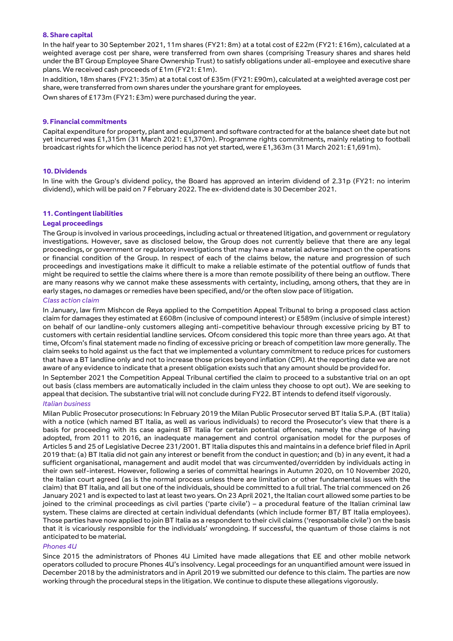#### **8. Share capital**

In the half year to 30 September 2021, 11m shares (FY21: 8m) at a total cost of £22m (FY21: £16m), calculated at a weighted average cost per share, were transferred from own shares (comprising Treasury shares and shares held under the BT Group Employee Share Ownership Trust) to satisfy obligations under all-employee and executive share plans. We received cash proceeds of £1m (FY21: £1m).

In addition, 18m shares (FY21: 35m) at a total cost of £35m (FY21: £90m), calculated at a weighted average cost per share, were transferred from own shares under the yourshare grant for employees.

Own shares of £173m (FY21: £3m) were purchased during the year.

#### **9. Financial commitments**

Capital expenditure for property, plant and equipment and software contracted for at the balance sheet date but not yet incurred was £1,315m (31 March 2021: £1,370m). Programme rights commitments, mainly relating to football broadcast rights for which the licence period has not yet started, were £1,363m (31 March 2021: £1,691m).

#### **10. Dividends**

In line with the Group's dividend policy, the Board has approved an interim dividend of 2.31p (FY21: no interim dividend), which will be paid on 7 February 2022. The ex-dividend date is 30 December 2021.

#### **11. Contingent liabilities**

#### **Legal proceedings**

The Group is involved in various proceedings, including actual or threatened litigation, and government or regulatory investigations. However, save as disclosed below, the Group does not currently believe that there are any legal proceedings, or government or regulatory investigations that may have a material adverse impact on the operations or financial condition of the Group. In respect of each of the claims below, the nature and progression of such proceedings and investigations make it difficult to make a reliable estimate of the potential outflow of funds that might be required to settle the claims where there is a more than remote possibility of there being an outflow. There are many reasons why we cannot make these assessments with certainty, including, among others, that they are in early stages, no damages or remedies have been specified, and/or the often slow pace of litigation.

#### *Class action claim*

In January, law firm Mishcon de Reya applied to the Competition Appeal Tribunal to bring a proposed class action claim for damages they estimated at £608m (inclusive of compound interest) or £589m (inclusive of simple interest) on behalf of our landline-only customers alleging anti-competitive behaviour through excessive pricing by BT to customers with certain residential landline services. Ofcom considered this topic more than three years ago. At that time, Ofcom's final statement made no finding of excessive pricing or breach of competition law more generally. The claim seeks to hold against us the fact that we implemented a voluntary commitment to reduce prices for customers that have a BT landline only and not to increase those prices beyond inflation (CPI). At the reporting date we are not aware of any evidence to indicate that a present obligation exists such that any amount should be provided for.

In September 2021 the Competition Appeal Tribunal certified the claim to proceed to a substantive trial on an opt out basis (class members are automatically included in the claim unless they choose to opt out). We are seeking to appeal that decision. The substantive trial will not conclude during FY22. BT intends to defend itself vigorously.

#### *Italian business*

Milan Public Prosecutor prosecutions: In February 2019 the Milan Public Prosecutor served BT Italia S.P.A. (BT Italia) with a notice (which named BT Italia, as well as various individuals) to record the Prosecutor's view that there is a basis for proceeding with its case against BT Italia for certain potential offences, namely the charge of having adopted, from 2011 to 2016, an inadequate management and control organisation model for the purposes of Articles 5 and 25 of Legislative Decree 231/2001. BT Italia disputes this and maintains in a defence brief filed in April 2019 that: (a) BT Italia did not gain any interest or benefit from the conduct in question; and (b) in any event, it had a sufficient organisational, management and audit model that was circumvented/overridden by individuals acting in their own self-interest. However, following a series of committal hearings in Autumn 2020, on 10 November 2020, the Italian court agreed (as is the normal process unless there are limitation or other fundamental issues with the claim) that BT Italia, and all but one of the individuals, should be committed to a full trial. The trial commenced on 26 January 2021 and is expected to last at least two years. On 23 April 2021, the Italian court allowed some parties to be joined to the criminal proceedings as civil parties ('parte civile') – a procedural feature of the Italian criminal law system. These claims are directed at certain individual defendants (which include former BT/ BT Italia employees). Those parties have now applied to join BT Italia as a respondent to their civil claims ('responsabile civile') on the basis that it is vicariously responsible for the individuals' wrongdoing. If successful, the quantum of those claims is not anticipated to be material.

#### *Phones 4U*

Since 2015 the administrators of Phones 4U Limited have made allegations that EE and other mobile network operators colluded to procure Phones 4U's insolvency. Legal proceedings for an unquantified amount were issued in December 2018 by the administrators and in April 2019 we submitted our defence to this claim. The parties are now working through the procedural steps in the litigation. We continue to dispute these allegations vigorously.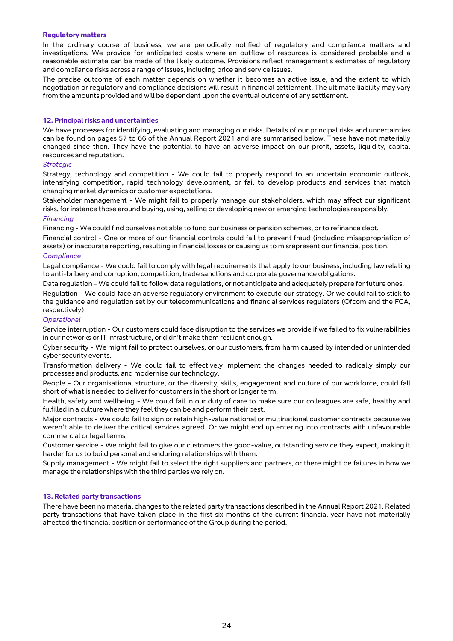#### **Regulatory matters**

In the ordinary course of business, we are periodically notified of regulatory and compliance matters and investigations. We provide for anticipated costs where an outflow of resources is considered probable and a reasonable estimate can be made of the likely outcome. Provisions reflect management's estimates of regulatory and compliance risks across a range of issues, including price and service issues.

The precise outcome of each matter depends on whether it becomes an active issue, and the extent to which negotiation or regulatory and compliance decisions will result in financial settlement. The ultimate liability may vary from the amounts provided and will be dependent upon the eventual outcome of any settlement.

#### **12. Principal risks and uncertainties**

We have processes for identifying, evaluating and managing our risks. Details of our principal risks and uncertainties can be found on pages 57 to 66 of the Annual Report 2021 and are summarised below. These have not materially changed since then. They have the potential to have an adverse impact on our profit, assets, liquidity, capital resources and reputation.

#### *Strategic*

Strategy, technology and competition - We could fail to properly respond to an uncertain economic outlook, intensifying competition, rapid technology development, or fail to develop products and services that match changing market dynamics or customer expectations.

Stakeholder management - We might fail to properly manage our stakeholders, which may affect our significant risks, for instance those around buying, using, selling or developing new or emerging technologies responsibly.

#### *Financing*

Financing - We could find ourselves not able to fund our business or pension schemes, or to refinance debt.

Financial control - One or more of our financial controls could fail to prevent fraud (including misappropriation of assets) or inaccurate reporting, resulting in financial losses or causing us to misrepresent our financial position.

#### *Compliance*

Legal compliance - We could fail to comply with legal requirements that apply to our business, including law relating to anti-bribery and corruption, competition, trade sanctions and corporate governance obligations.

Data regulation - We could fail to follow data regulations, or not anticipate and adequately prepare for future ones.

Regulation - We could face an adverse regulatory environment to execute our strategy. Or we could fail to stick to the guidance and regulation set by our telecommunications and financial services regulators (Ofcom and the FCA, respectively).

#### *Operational*

Service interruption - Our customers could face disruption to the services we provide if we failed to fix vulnerabilities in our networks or IT infrastructure, or didn't make them resilient enough.

Cyber security - We might fail to protect ourselves, or our customers, from harm caused by intended or unintended cyber security events.

Transformation delivery - We could fail to effectively implement the changes needed to radically simply our processes and products, and modernise our technology.

People - Our organisational structure, or the diversity, skills, engagement and culture of our workforce, could fall short of what is needed to deliver for customers in the short or longer term.

Health, safety and wellbeing - We could fail in our duty of care to make sure our colleagues are safe, healthy and fulfilled in a culture where they feel they can be and perform their best.

Major contracts - We could fail to sign or retain high-value national or multinational customer contracts because we weren't able to deliver the critical services agreed. Or we might end up entering into contracts with unfavourable commercial or legal terms.

Customer service - We might fail to give our customers the good-value, outstanding service they expect, making it harder for us to build personal and enduring relationships with them.

Supply management - We might fail to select the right suppliers and partners, or there might be failures in how we manage the relationships with the third parties we rely on.

#### **13. Related party transactions**

There have been no material changes to the related party transactions described in the Annual Report 2021. Related party transactions that have taken place in the first six months of the current financial year have not materially affected the financial position or performance of the Group during the period.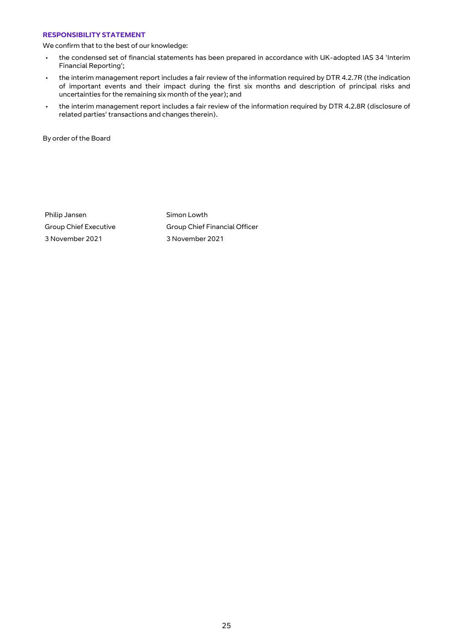#### **RESPONSIBILITY STATEMENT**

We confirm that to the best of our knowledge:

- the condensed set of financial statements has been prepared in accordance with UK-adopted IAS 34 'Interim Financial Reporting';
- the interim management report includes a fair review of the information required by DTR 4.2.7R (the indication of important events and their impact during the first six months and description of principal risks and uncertainties for the remaining six month of the year); and
- the interim management report includes a fair review of the information required by DTR 4.2.8R (disclosure of related parties' transactions and changes therein).

By order of the Board

Philip Jansen Simon Lowth 3 November 2021 3 November 2021

Group Chief Executive Group Chief Financial Officer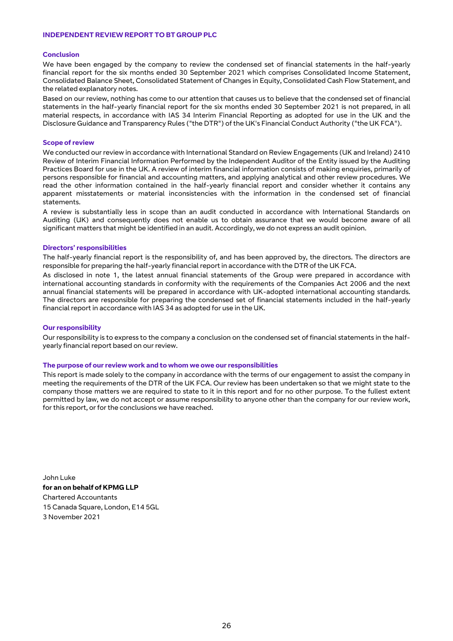#### **INDEPENDENT REVIEW REPORT TO BT GROUP PLC**

#### **Conclusion**

We have been engaged by the company to review the condensed set of financial statements in the half-yearly financial report for the six months ended 30 September 2021 which comprises Consolidated Income Statement, Consolidated Balance Sheet, Consolidated Statement of Changes in Equity, Consolidated Cash Flow Statement, and the related explanatory notes.

Based on our review, nothing has come to our attention that causes us to believe that the condensed set of financial statements in the half-yearly financial report for the six months ended 30 September 2021 is not prepared, in all material respects, in accordance with IAS 34 Interim Financial Reporting as adopted for use in the UK and the Disclosure Guidance and Transparency Rules ("the DTR") of the UK's Financial Conduct Authority ("the UK FCA").

#### **Scope of review**

We conducted our review in accordance with International Standard on Review Engagements (UK and Ireland) 2410 Review of Interim Financial Information Performed by the Independent Auditor of the Entity issued by the Auditing Practices Board for use in the UK. A review of interim financial information consists of making enquiries, primarily of persons responsible for financial and accounting matters, and applying analytical and other review procedures. We read the other information contained in the half-yearly financial report and consider whether it contains any apparent misstatements or material inconsistencies with the information in the condensed set of financial statements.

A review is substantially less in scope than an audit conducted in accordance with International Standards on Auditing (UK) and consequently does not enable us to obtain assurance that we would become aware of all significant matters that might be identified in an audit. Accordingly, we do not express an audit opinion.

#### **Directors' responsibilities**

The half-yearly financial report is the responsibility of, and has been approved by, the directors. The directors are responsible for preparing the half-yearly financial report in accordance with the DTR of the UK FCA.

As disclosed in note 1, the latest annual financial statements of the Group were prepared in accordance with international accounting standards in conformity with the requirements of the Companies Act 2006 and the next annual financial statements will be prepared in accordance with UK-adopted international accounting standards. The directors are responsible for preparing the condensed set of financial statements included in the half-yearly financial report in accordance with IAS 34 as adopted for use in the UK.

#### **Our responsibility**

Our responsibility is to express to the company a conclusion on the condensed set of financial statements in the halfyearly financial report based on our review.

#### **The purpose of our review work and to whom we owe our responsibilities**

This report is made solely to the company in accordance with the terms of our engagement to assist the company in meeting the requirements of the DTR of the UK FCA. Our review has been undertaken so that we might state to the company those matters we are required to state to it in this report and for no other purpose. To the fullest extent permitted by law, we do not accept or assume responsibility to anyone other than the company for our review work, for this report, or for the conclusions we have reached.

John Luke **for an on behalf of KPMG LLP** Chartered Accountants 15 Canada Square, London, E14 5GL 3 November 2021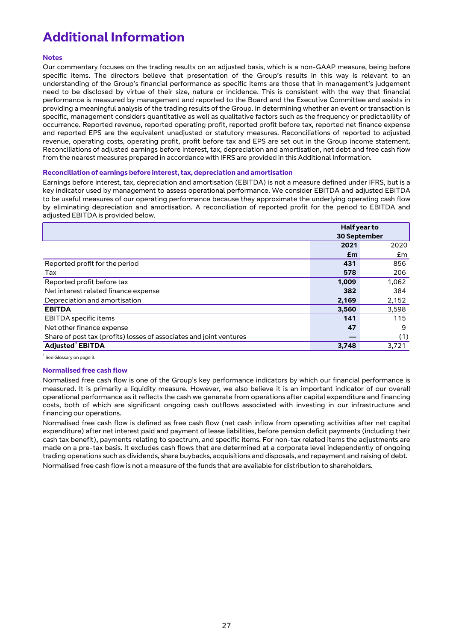# **Additional Information**

#### **Notes**

Our commentary focuses on the trading results on an adjusted basis, which is a non-GAAP measure, being before specific items. The directors believe that presentation of the Group's results in this way is relevant to an understanding of the Group's financial performance as specific items are those that in management's judgement need to be disclosed by virtue of their size, nature or incidence. This is consistent with the way that financial performance is measured by management and reported to the Board and the Executive Committee and assists in providing a meaningful analysis of the trading results of the Group. In determining whether an event or transaction is specific, management considers quantitative as well as qualitative factors such as the frequency or predictability of occurrence. Reported revenue, reported operating profit, reported profit before tax, reported net finance expense and reported EPS are the equivalent unadjusted or statutory measures. Reconciliations of reported to adjusted revenue, operating costs, operating profit, profit before tax and EPS are set out in the Group income statement. Reconciliations of adjusted earnings before interest, tax, depreciation and amortisation, net debt and free cash flow from the nearest measures prepared in accordance with IFRS are provided in this Additional Information.

#### **Reconciliation of earnings before interest, tax, depreciation and amortisation**

Earnings before interest, tax, depreciation and amortisation (EBITDA) is not a measure defined under IFRS, but is a key indicator used by management to assess operational performance. We consider EBITDA and adjusted EBITDA to be useful measures of our operating performance because they approximate the underlying operating cash flow by eliminating depreciation and amortisation. A reconciliation of reported profit for the period to EBITDA and adjusted EBITDA is provided below.

|                                                                     | Half year to        |       |  |
|---------------------------------------------------------------------|---------------------|-------|--|
|                                                                     | <b>30 September</b> |       |  |
|                                                                     | 2021                | 2020  |  |
|                                                                     | £m                  | £m    |  |
| Reported profit for the period                                      | 431                 | 856   |  |
| Tax                                                                 | 578                 | 206   |  |
| Reported profit before tax                                          | 1,009               | 1,062 |  |
| Net interest related finance expense                                | 382                 | 384   |  |
| Depreciation and amortisation                                       | 2,169               | 2,152 |  |
| <b>EBITDA</b>                                                       | 3,560               | 3,598 |  |
| <b>EBITDA</b> specific items                                        | 141                 | 115   |  |
| Net other finance expense                                           | 47                  | 9     |  |
| Share of post tax (profits) losses of associates and joint ventures |                     | (1)   |  |
| Adjusted <sup>1</sup> EBITDA                                        | 3,748               | 3,721 |  |

<sup>1</sup> See Glossary on page 3.

#### **Normalised free cash flow**

Normalised free cash flow is one of the Group's key performance indicators by which our financial performance is measured. It is primarily a liquidity measure. However, we also believe it is an important indicator of our overall operational performance as it reflects the cash we generate from operations after capital expenditure and financing costs, both of which are significant ongoing cash outflows associated with investing in our infrastructure and financing our operations.

Normalised free cash flow is defined as free cash flow (net cash inflow from operating activities after net capital expenditure) after net interest paid and payment of lease liabilities, before pension deficit payments (including their cash tax benefit), payments relating to spectrum, and specific items. For non-tax related items the adjustments are made on a pre-tax basis. It excludes cash flows that are determined at a corporate level independently of ongoing trading operations such as dividends, share buybacks, acquisitions and disposals, and repayment and raising of debt. Normalised free cash flow is not a measure of the funds that are available for distribution to shareholders.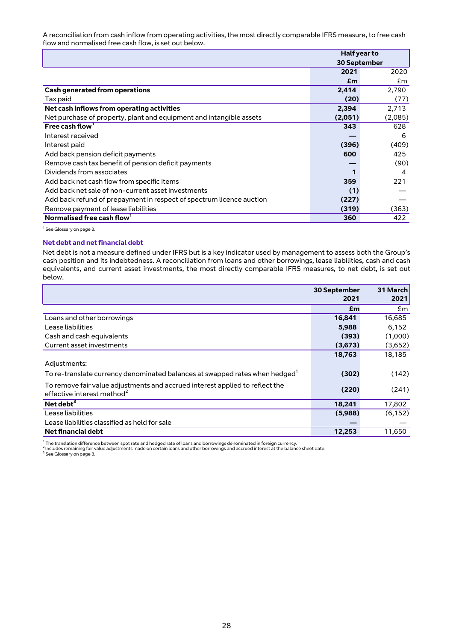A reconciliation from cash inflow from operating activities, the most directly comparable IFRS measure, to free cash flow and normalised free cash flow, is set out below.

|                                                                      | Half year to |         |  |
|----------------------------------------------------------------------|--------------|---------|--|
|                                                                      | 30 September |         |  |
|                                                                      | 2021         | 2020    |  |
|                                                                      | £m           | £m      |  |
| <b>Cash generated from operations</b>                                | 2,414        | 2,790   |  |
| Tax paid                                                             | (20)         | (77)    |  |
| Net cash inflows from operating activities                           | 2,394        | 2,713   |  |
| Net purchase of property, plant and equipment and intangible assets  | (2,051)      | (2,085) |  |
| Free cash flow <sup>1</sup>                                          | 343          | 628     |  |
| Interest received                                                    |              | 6       |  |
| Interest paid                                                        | (396)        | (409)   |  |
| Add back pension deficit payments                                    | 600          | 425     |  |
| Remove cash tax benefit of pension deficit payments                  |              | (90)    |  |
| Dividends from associates                                            |              | 4       |  |
| Add back net cash flow from specific items                           | 359          | 221     |  |
| Add back net sale of non-current asset investments                   | (1)          |         |  |
| Add back refund of prepayment in respect of spectrum licence auction | (227)        |         |  |
| Remove payment of lease liabilities                                  | (319)        | (363)   |  |
| Normalised free cash flow <sup>1</sup>                               | 360          | 422     |  |

<sup>1</sup> See Glossary on page 3.

#### **Net debt and net financial debt**

Net debt is not a measure defined under IFRS but is a key indicator used by management to assess both the Group's cash position and its indebtedness. A reconciliation from loans and other borrowings, lease liabilities, cash and cash equivalents, and current asset investments, the most directly comparable IFRS measures, to net debt, is set out below.

|                                                                                                                        | 30 September<br>2021 | 31 March<br>2021 |
|------------------------------------------------------------------------------------------------------------------------|----------------------|------------------|
|                                                                                                                        | £m                   | £m               |
| Loans and other borrowings                                                                                             | 16,841               | 16,685           |
| Lease liabilities                                                                                                      | 5,988                | 6,152            |
| Cash and cash equivalents                                                                                              | (393)                | (1,000)          |
| Current asset investments                                                                                              | (3,673)              | (3,652)          |
|                                                                                                                        | 18,763               | 18,185           |
| Adjustments:                                                                                                           |                      |                  |
| To re-translate currency denominated balances at swapped rates when hedged <sup>1</sup>                                | (302)                | (142)            |
| To remove fair value adjustments and accrued interest applied to reflect the<br>effective interest method <sup>2</sup> | (220)                | (241)            |
| Net debt $3$                                                                                                           | 18,241               | 17,802           |
| Lease liabilities                                                                                                      | (5,988)              | (6, 152)         |
| Lease liabilities classified as held for sale                                                                          |                      |                  |
| Net financial debt                                                                                                     | 12,253               | 11,650           |

<sup>1</sup> The translation difference between spot rate and hedged rate of loans and borrowings denominated in foreign currency.<br><sup>2</sup> Includes remaining fair value adjustments made on certain loans and other borrowings and accrued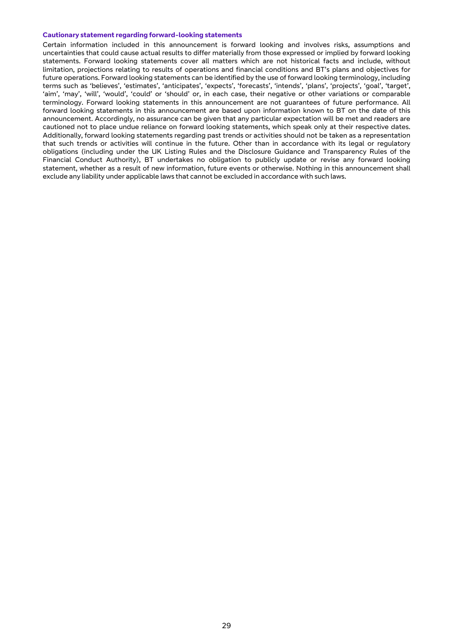#### **Cautionary statement regarding forward-looking statements**

Certain information included in this announcement is forward looking and involves risks, assumptions and uncertainties that could cause actual results to differ materially from those expressed or implied by forward looking statements. Forward looking statements cover all matters which are not historical facts and include, without limitation, projections relating to results of operations and financial conditions and BT's plans and objectives for future operations. Forward looking statements can be identified by the use of forward looking terminology, including terms such as 'believes', 'estimates', 'anticipates', 'expects', 'forecasts', 'intends', 'plans', 'projects', 'goal', 'target', 'aim', 'may', 'will', 'would', 'could' or 'should' or, in each case, their negative or other variations or comparable terminology. Forward looking statements in this announcement are not guarantees of future performance. All forward looking statements in this announcement are based upon information known to BT on the date of this announcement. Accordingly, no assurance can be given that any particular expectation will be met and readers are cautioned not to place undue reliance on forward looking statements, which speak only at their respective dates. Additionally, forward looking statements regarding past trends or activities should not be taken as a representation that such trends or activities will continue in the future. Other than in accordance with its legal or regulatory obligations (including under the UK Listing Rules and the Disclosure Guidance and Transparency Rules of the Financial Conduct Authority), BT undertakes no obligation to publicly update or revise any forward looking statement, whether as a result of new information, future events or otherwise. Nothing in this announcement shall exclude any liability under applicable laws that cannot be excluded in accordance with such laws.